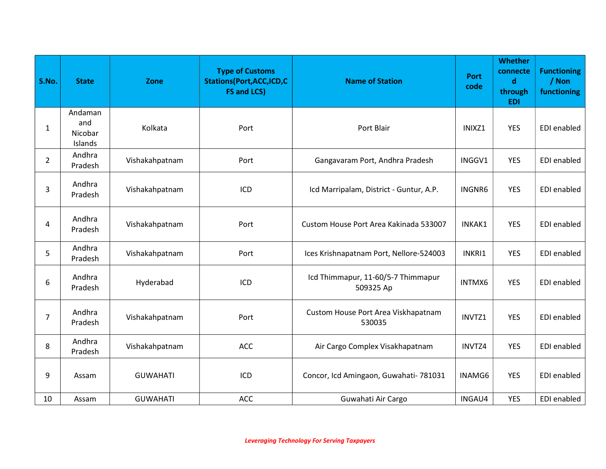| S.No.          | <b>State</b>                         | Zone            | <b>Type of Customs</b><br><b>Stations(Port, ACC, ICD, C</b><br><b>FS and LCS)</b> | <b>Name of Station</b>                          | <b>Port</b><br>code | <b>Whether</b><br>connecte<br>$\mathbf d$<br>through<br><b>EDI</b> | <b>Functioning</b><br>/ Non<br>functioning |
|----------------|--------------------------------------|-----------------|-----------------------------------------------------------------------------------|-------------------------------------------------|---------------------|--------------------------------------------------------------------|--------------------------------------------|
| $\mathbf{1}$   | Andaman<br>and<br>Nicobar<br>Islands | Kolkata         | Port                                                                              | Port Blair                                      | INIXZ1              | <b>YES</b>                                                         | EDI enabled                                |
| $\overline{2}$ | Andhra<br>Pradesh                    | Vishakahpatnam  | Port                                                                              | Gangavaram Port, Andhra Pradesh                 | INGGV1              | <b>YES</b>                                                         | EDI enabled                                |
| 3              | Andhra<br>Pradesh                    | Vishakahpatnam  | ICD                                                                               | Icd Marripalam, District - Guntur, A.P.         | INGNR6              | <b>YES</b>                                                         | EDI enabled                                |
| 4              | Andhra<br>Pradesh                    | Vishakahpatnam  | Port                                                                              | Custom House Port Area Kakinada 533007          | INKAK1              | <b>YES</b>                                                         | EDI enabled                                |
| 5              | Andhra<br>Pradesh                    | Vishakahpatnam  | Port                                                                              | Ices Krishnapatnam Port, Nellore-524003         | INKRI1              | <b>YES</b>                                                         | EDI enabled                                |
| 6              | Andhra<br>Pradesh                    | Hyderabad       | ICD                                                                               | Icd Thimmapur, 11-60/5-7 Thimmapur<br>509325 Ap | INTMX6              | <b>YES</b>                                                         | EDI enabled                                |
| $\overline{7}$ | Andhra<br>Pradesh                    | Vishakahpatnam  | Port                                                                              | Custom House Port Area Viskhapatnam<br>530035   | INVTZ1              | <b>YES</b>                                                         | EDI enabled                                |
| 8              | Andhra<br>Pradesh                    | Vishakahpatnam  | ACC                                                                               | Air Cargo Complex Visakhapatnam                 | INVTZ4              | <b>YES</b>                                                         | EDI enabled                                |
| 9              | Assam                                | <b>GUWAHATI</b> | ICD                                                                               | Concor, Icd Amingaon, Guwahati- 781031          | INAMG6              | <b>YES</b>                                                         | EDI enabled                                |
| 10             | Assam                                | <b>GUWAHATI</b> | <b>ACC</b>                                                                        | Guwahati Air Cargo                              | INGAU4              | <b>YES</b>                                                         | EDI enabled                                |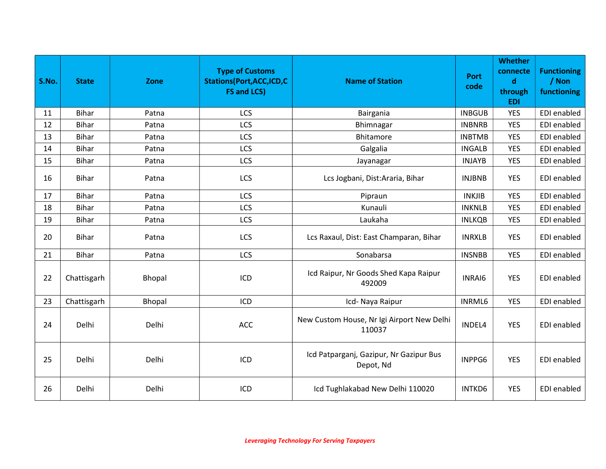| S.No. | <b>State</b> | <b>Zone</b>   | <b>Type of Customs</b><br><b>Stations(Port, ACC, ICD, C</b><br><b>FS and LCS)</b> | <b>Name of Station</b>                               | <b>Port</b><br>code | <b>Whether</b><br>connecte<br>$\mathbf d$<br>through<br><b>EDI</b> | <b>Functioning</b><br>/ Non<br>functioning |
|-------|--------------|---------------|-----------------------------------------------------------------------------------|------------------------------------------------------|---------------------|--------------------------------------------------------------------|--------------------------------------------|
| 11    | <b>Bihar</b> | Patna         | LCS                                                                               | Bairgania                                            | <b>INBGUB</b>       | <b>YES</b>                                                         | EDI enabled                                |
| 12    | <b>Bihar</b> | Patna         | LCS                                                                               | Bhimnagar                                            | <b>INBNRB</b>       | <b>YES</b>                                                         | EDI enabled                                |
| 13    | <b>Bihar</b> | Patna         | LCS                                                                               | <b>Bhitamore</b>                                     | <b>INBTMB</b>       | <b>YES</b>                                                         | EDI enabled                                |
| 14    | <b>Bihar</b> | Patna         | LCS                                                                               | Galgalia                                             | <b>INGALB</b>       | <b>YES</b>                                                         | EDI enabled                                |
| 15    | <b>Bihar</b> | Patna         | LCS                                                                               | Jayanagar                                            | <b>INJAYB</b>       | <b>YES</b>                                                         | EDI enabled                                |
| 16    | <b>Bihar</b> | Patna         | LCS                                                                               | Lcs Jogbani, Dist:Araria, Bihar                      | <b>INJBNB</b>       | <b>YES</b>                                                         | EDI enabled                                |
| 17    | <b>Bihar</b> | Patna         | LCS                                                                               | Pipraun                                              | <b>INKJIB</b>       | <b>YES</b>                                                         | EDI enabled                                |
| 18    | <b>Bihar</b> | Patna         | LCS                                                                               | Kunauli                                              | <b>INKNLB</b>       | <b>YES</b>                                                         | EDI enabled                                |
| 19    | <b>Bihar</b> | Patna         | LCS                                                                               | Laukaha                                              | <b>INLKQB</b>       | <b>YES</b>                                                         | EDI enabled                                |
| 20    | <b>Bihar</b> | Patna         | LCS                                                                               | Lcs Raxaul, Dist: East Champaran, Bihar              | <b>INRXLB</b>       | <b>YES</b>                                                         | EDI enabled                                |
| 21    | <b>Bihar</b> | Patna         | LCS                                                                               | Sonabarsa                                            | <b>INSNBB</b>       | <b>YES</b>                                                         | <b>EDI</b> enabled                         |
| 22    | Chattisgarh  | <b>Bhopal</b> | ICD                                                                               | Icd Raipur, Nr Goods Shed Kapa Raipur<br>492009      | INRAI6              | <b>YES</b>                                                         | EDI enabled                                |
| 23    | Chattisgarh  | Bhopal        | ICD                                                                               | Icd- Naya Raipur                                     | <b>INRML6</b>       | <b>YES</b>                                                         | EDI enabled                                |
| 24    | Delhi        | Delhi         | ACC                                                                               | New Custom House, Nr Igi Airport New Delhi<br>110037 | INDEL4              | <b>YES</b>                                                         | EDI enabled                                |
| 25    | Delhi        | Delhi         | ICD                                                                               | Icd Patparganj, Gazipur, Nr Gazipur Bus<br>Depot, Nd | INPPG6              | <b>YES</b>                                                         | EDI enabled                                |
| 26    | Delhi        | Delhi         | ICD                                                                               | Icd Tughlakabad New Delhi 110020                     | <b>INTKD6</b>       | <b>YES</b>                                                         | EDI enabled                                |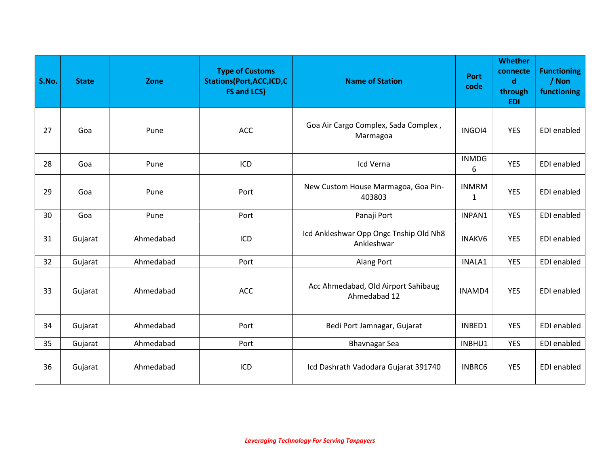| S.No. | <b>State</b> | Zone      | <b>Type of Customs</b><br><b>Stations (Port, ACC, ICD, C</b><br><b>FS and LCS)</b> | <b>Name of Station</b>                               | <b>Port</b><br>code | <b>Whether</b><br>connecte<br>$\mathbf d$<br>through<br><b>EDI</b> | <b>Functioning</b><br>/ Non<br>functioning |
|-------|--------------|-----------|------------------------------------------------------------------------------------|------------------------------------------------------|---------------------|--------------------------------------------------------------------|--------------------------------------------|
| 27    | Goa          | Pune      | <b>ACC</b>                                                                         | Goa Air Cargo Complex, Sada Complex,<br>Marmagoa     | INGOI4              | <b>YES</b>                                                         | EDI enabled                                |
| 28    | Goa          | Pune      | ICD                                                                                | Icd Verna                                            | <b>INMDG</b><br>6   | <b>YES</b>                                                         | EDI enabled                                |
| 29    | Goa          | Pune      | Port                                                                               | New Custom House Marmagoa, Goa Pin-<br>403803        | <b>INMRM</b><br>1   | <b>YES</b>                                                         | EDI enabled                                |
| 30    | Goa          | Pune      | Port                                                                               | Panaji Port                                          | INPAN1              | <b>YES</b>                                                         | EDI enabled                                |
| 31    | Gujarat      | Ahmedabad | ICD                                                                                | Icd Ankleshwar Opp Ongc Tnship Old Nh8<br>Ankleshwar | <b>INAKV6</b>       | <b>YES</b>                                                         | <b>EDI</b> enabled                         |
| 32    | Gujarat      | Ahmedabad | Port                                                                               | Alang Port                                           | INALA1              | <b>YES</b>                                                         | EDI enabled                                |
| 33    | Gujarat      | Ahmedabad | <b>ACC</b>                                                                         | Acc Ahmedabad, Old Airport Sahibaug<br>Ahmedabad 12  | INAMD4              | <b>YES</b>                                                         | EDI enabled                                |
| 34    | Gujarat      | Ahmedabad | Port                                                                               | Bedi Port Jamnagar, Gujarat                          | INBED1              | <b>YES</b>                                                         | EDI enabled                                |
| 35    | Gujarat      | Ahmedabad | Port                                                                               | <b>Bhavnagar Sea</b>                                 | INBHU1              | <b>YES</b>                                                         | EDI enabled                                |
| 36    | Gujarat      | Ahmedabad | ICD                                                                                | Icd Dashrath Vadodara Gujarat 391740                 | <b>INBRC6</b>       | <b>YES</b>                                                         | EDI enabled                                |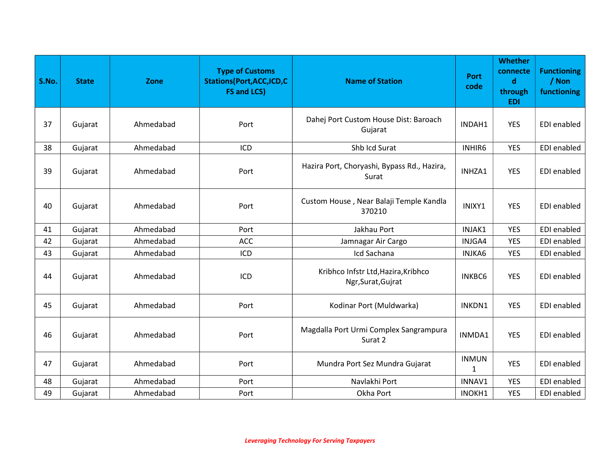| S.No. | <b>State</b> | Zone      | <b>Type of Customs</b><br><b>Stations(Port, ACC, ICD, C</b><br><b>FS and LCS)</b> | <b>Name of Station</b>                                    | <b>Port</b><br>code | <b>Whether</b><br>connecte<br>$\mathbf d$<br>through<br><b>EDI</b> | <b>Functioning</b><br>/ Non<br>functioning |
|-------|--------------|-----------|-----------------------------------------------------------------------------------|-----------------------------------------------------------|---------------------|--------------------------------------------------------------------|--------------------------------------------|
| 37    | Gujarat      | Ahmedabad | Port                                                                              | Dahej Port Custom House Dist: Baroach<br>Gujarat          | INDAH1              | <b>YES</b>                                                         | EDI enabled                                |
| 38    | Gujarat      | Ahmedabad | ICD                                                                               | Shb Icd Surat                                             | INHIR6              | <b>YES</b>                                                         | <b>EDI</b> enabled                         |
| 39    | Gujarat      | Ahmedabad | Port                                                                              | Hazira Port, Choryashi, Bypass Rd., Hazira,<br>Surat      | INHZA1              | <b>YES</b>                                                         | <b>EDI</b> enabled                         |
| 40    | Gujarat      | Ahmedabad | Port                                                                              | Custom House, Near Balaji Temple Kandla<br>370210         | INIXY1              | <b>YES</b>                                                         | EDI enabled                                |
| 41    | Gujarat      | Ahmedabad | Port                                                                              | Jakhau Port                                               | INJAK1              | <b>YES</b>                                                         | EDI enabled                                |
| 42    | Gujarat      | Ahmedabad | <b>ACC</b>                                                                        | Jamnagar Air Cargo                                        | INJGA4              | <b>YES</b>                                                         | EDI enabled                                |
| 43    | Gujarat      | Ahmedabad | ICD                                                                               | Icd Sachana                                               | <b>INJKA6</b>       | <b>YES</b>                                                         | EDI enabled                                |
| 44    | Gujarat      | Ahmedabad | ICD                                                                               | Kribhco Infstr Ltd, Hazira, Kribhco<br>Ngr, Surat, Gujrat | <b>INKBC6</b>       | <b>YES</b>                                                         | EDI enabled                                |
| 45    | Gujarat      | Ahmedabad | Port                                                                              | Kodinar Port (Muldwarka)                                  | INKDN1              | <b>YES</b>                                                         | EDI enabled                                |
| 46    | Gujarat      | Ahmedabad | Port                                                                              | Magdalla Port Urmi Complex Sangrampura<br>Surat 2         | INMDA1              | <b>YES</b>                                                         | <b>EDI</b> enabled                         |
| 47    | Gujarat      | Ahmedabad | Port                                                                              | Mundra Port Sez Mundra Gujarat                            | <b>INMUN</b><br>1   | <b>YES</b>                                                         | EDI enabled                                |
| 48    | Gujarat      | Ahmedabad | Port                                                                              | Navlakhi Port                                             | INNAV1              | <b>YES</b>                                                         | EDI enabled                                |
| 49    | Gujarat      | Ahmedabad | Port                                                                              | Okha Port                                                 | INOKH1              | <b>YES</b>                                                         | EDI enabled                                |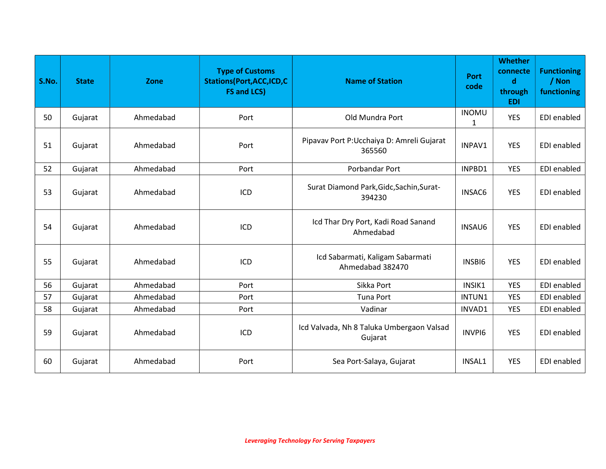| S.No. | <b>State</b> | Zone      | <b>Type of Customs</b><br><b>Stations(Port, ACC, ICD, C</b><br><b>FS and LCS)</b> | <b>Name of Station</b>                               | Port<br>code      | <b>Whether</b><br>connecte<br>$\mathbf d$<br>through<br><b>EDI</b> | <b>Functioning</b><br>/ Non<br>functioning |
|-------|--------------|-----------|-----------------------------------------------------------------------------------|------------------------------------------------------|-------------------|--------------------------------------------------------------------|--------------------------------------------|
| 50    | Gujarat      | Ahmedabad | Port                                                                              | Old Mundra Port                                      | <b>INOMU</b><br>1 | <b>YES</b>                                                         | EDI enabled                                |
| 51    | Gujarat      | Ahmedabad | Port                                                                              | Pipavav Port P: Ucchaiya D: Amreli Gujarat<br>365560 | INPAV1            | <b>YES</b>                                                         | EDI enabled                                |
| 52    | Gujarat      | Ahmedabad | Port                                                                              | Porbandar Port                                       | INPBD1            | <b>YES</b>                                                         | EDI enabled                                |
| 53    | Gujarat      | Ahmedabad | ICD                                                                               | Surat Diamond Park, Gidc, Sachin, Surat-<br>394230   | <b>INSAC6</b>     | <b>YES</b>                                                         | EDI enabled                                |
| 54    | Gujarat      | Ahmedabad | ICD                                                                               | Icd Thar Dry Port, Kadi Road Sanand<br>Ahmedabad     | <b>INSAU6</b>     | <b>YES</b>                                                         | EDI enabled                                |
| 55    | Gujarat      | Ahmedabad | ICD                                                                               | Icd Sabarmati, Kaligam Sabarmati<br>Ahmedabad 382470 | INSBI6            | <b>YES</b>                                                         | EDI enabled                                |
| 56    | Gujarat      | Ahmedabad | Port                                                                              | Sikka Port                                           | INSIK1            | <b>YES</b>                                                         | EDI enabled                                |
| 57    | Gujarat      | Ahmedabad | Port                                                                              | <b>Tuna Port</b>                                     | INTUN1            | <b>YES</b>                                                         | EDI enabled                                |
| 58    | Gujarat      | Ahmedabad | Port                                                                              | Vadinar                                              | INVAD1            | <b>YES</b>                                                         | <b>EDI</b> enabled                         |
| 59    | Gujarat      | Ahmedabad | ICD                                                                               | Icd Valvada, Nh 8 Taluka Umbergaon Valsad<br>Gujarat | <b>INVPI6</b>     | <b>YES</b>                                                         | EDI enabled                                |
| 60    | Gujarat      | Ahmedabad | Port                                                                              | Sea Port-Salaya, Gujarat                             | INSAL1            | <b>YES</b>                                                         | EDI enabled                                |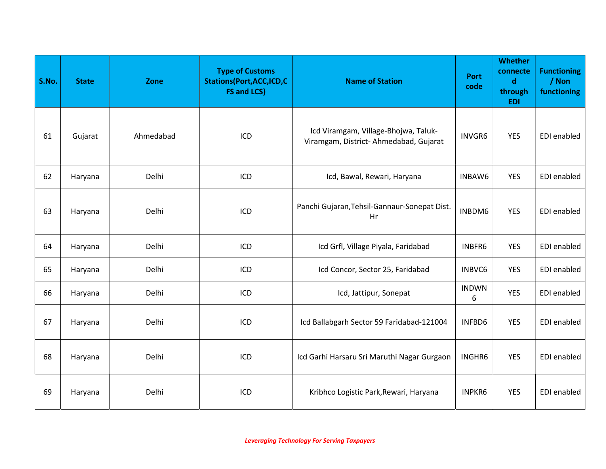| S.No. | <b>State</b> | Zone      | <b>Type of Customs</b><br><b>Stations(Port,ACC,ICD,C</b><br><b>FS and LCS)</b> | <b>Name of Station</b>                                                        | <b>Port</b><br>code | <b>Whether</b><br>connecte<br>$\mathbf d$<br>through<br><b>EDI</b> | <b>Functioning</b><br>/ Non<br>functioning |
|-------|--------------|-----------|--------------------------------------------------------------------------------|-------------------------------------------------------------------------------|---------------------|--------------------------------------------------------------------|--------------------------------------------|
| 61    | Gujarat      | Ahmedabad | ICD                                                                            | Icd Viramgam, Village-Bhojwa, Taluk-<br>Viramgam, District-Ahmedabad, Gujarat | INVGR6              | <b>YES</b>                                                         | EDI enabled                                |
| 62    | Haryana      | Delhi     | ICD                                                                            | Icd, Bawal, Rewari, Haryana                                                   | INBAW6              | <b>YES</b>                                                         | EDI enabled                                |
| 63    | Haryana      | Delhi     | ICD                                                                            | Panchi Gujaran, Tehsil-Gannaur-Sonepat Dist.<br>Hr                            | INBDM6              | <b>YES</b>                                                         | EDI enabled                                |
| 64    | Haryana      | Delhi     | ICD                                                                            | Icd Grfl, Village Piyala, Faridabad                                           | INBFR6              | <b>YES</b>                                                         | EDI enabled                                |
| 65    | Haryana      | Delhi     | ICD                                                                            | Icd Concor, Sector 25, Faridabad                                              | INBVC6              | <b>YES</b>                                                         | EDI enabled                                |
| 66    | Haryana      | Delhi     | ICD                                                                            | Icd, Jattipur, Sonepat                                                        | <b>INDWN</b><br>6   | <b>YES</b>                                                         | EDI enabled                                |
| 67    | Haryana      | Delhi     | ICD                                                                            | Icd Ballabgarh Sector 59 Faridabad-121004                                     | INFBD6              | <b>YES</b>                                                         | EDI enabled                                |
| 68    | Haryana      | Delhi     | ICD                                                                            | Icd Garhi Harsaru Sri Maruthi Nagar Gurgaon                                   | INGHR6              | <b>YES</b>                                                         | EDI enabled                                |
| 69    | Haryana      | Delhi     | ICD                                                                            | Kribhco Logistic Park, Rewari, Haryana                                        | <b>INPKR6</b>       | <b>YES</b>                                                         | EDI enabled                                |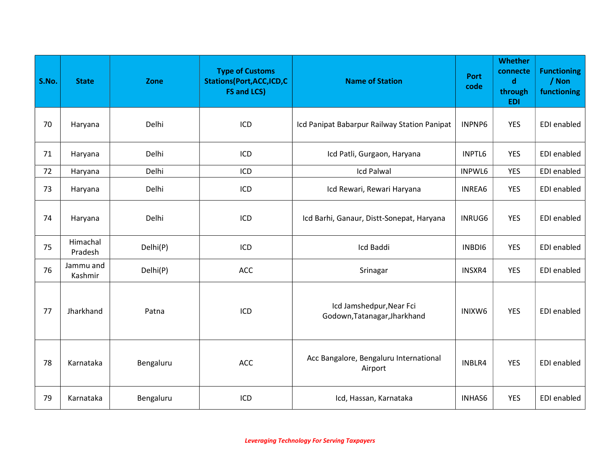| S.No. | <b>State</b>         | Zone      | <b>Type of Customs</b><br><b>Stations(Port, ACC, ICD, C</b><br><b>FS and LCS)</b> | <b>Name of Station</b>                                   | Port<br>code  | <b>Whether</b><br>connecte<br>$\mathbf d$<br>through<br><b>EDI</b> | <b>Functioning</b><br>/ Non<br>functioning |
|-------|----------------------|-----------|-----------------------------------------------------------------------------------|----------------------------------------------------------|---------------|--------------------------------------------------------------------|--------------------------------------------|
| 70    | Haryana              | Delhi     | ICD                                                                               | Icd Panipat Babarpur Railway Station Panipat             | INPNP6        | <b>YES</b>                                                         | EDI enabled                                |
| 71    | Haryana              | Delhi     | ICD                                                                               | Icd Patli, Gurgaon, Haryana                              | INPTL6        | <b>YES</b>                                                         | EDI enabled                                |
| 72    | Haryana              | Delhi     | ICD                                                                               | <b>Icd Palwal</b>                                        | INPWL6        | <b>YES</b>                                                         | EDI enabled                                |
| 73    | Haryana              | Delhi     | ICD                                                                               | Icd Rewari, Rewari Haryana                               | INREA6        | <b>YES</b>                                                         | EDI enabled                                |
| 74    | Haryana              | Delhi     | ICD                                                                               | Icd Barhi, Ganaur, Distt-Sonepat, Haryana                | <b>INRUG6</b> | <b>YES</b>                                                         | <b>EDI</b> enabled                         |
| 75    | Himachal<br>Pradesh  | Delhi(P)  | ICD                                                                               | Icd Baddi                                                | INBDI6        | <b>YES</b>                                                         | EDI enabled                                |
| 76    | Jammu and<br>Kashmir | Delhi(P)  | <b>ACC</b>                                                                        | Srinagar                                                 | INSXR4        | <b>YES</b>                                                         | <b>EDI</b> enabled                         |
| 77    | Jharkhand            | Patna     | ICD                                                                               | Icd Jamshedpur, Near Fci<br>Godown, Tatanagar, Jharkhand | INIXW6        | <b>YES</b>                                                         | EDI enabled                                |
| 78    | Karnataka            | Bengaluru | <b>ACC</b>                                                                        | Acc Bangalore, Bengaluru International<br>Airport        | INBLR4        | <b>YES</b>                                                         | EDI enabled                                |
| 79    | Karnataka            | Bengaluru | ICD                                                                               | Icd, Hassan, Karnataka                                   | <b>INHAS6</b> | <b>YES</b>                                                         | EDI enabled                                |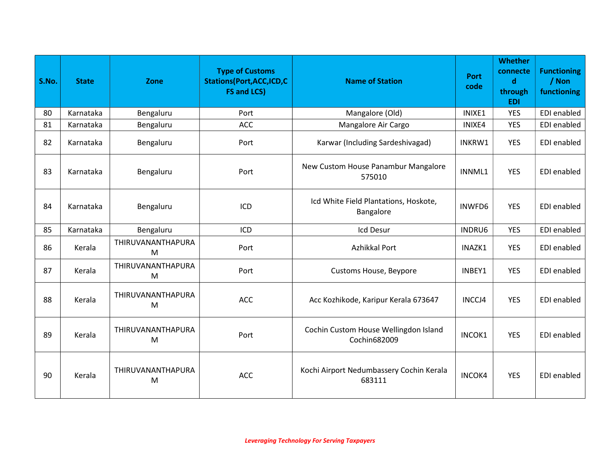| S.No. | <b>State</b> | Zone                   | <b>Type of Customs</b><br><b>Stations(Port, ACC, ICD, C</b><br><b>FS and LCS)</b> | <b>Name of Station</b>                                | <b>Port</b><br>code | <b>Whether</b><br>connecte<br>$\mathbf d$<br>through<br><b>EDI</b> | <b>Functioning</b><br>/ Non<br>functioning |
|-------|--------------|------------------------|-----------------------------------------------------------------------------------|-------------------------------------------------------|---------------------|--------------------------------------------------------------------|--------------------------------------------|
| 80    | Karnataka    | Bengaluru              | Port                                                                              | Mangalore (Old)                                       | INIXE1              | <b>YES</b>                                                         | EDI enabled                                |
| 81    | Karnataka    | Bengaluru              | <b>ACC</b>                                                                        | Mangalore Air Cargo                                   | INIXE4              | <b>YES</b>                                                         | EDI enabled                                |
| 82    | Karnataka    | Bengaluru              | Port                                                                              | Karwar (Including Sardeshivagad)                      | INKRW1              | <b>YES</b>                                                         | EDI enabled                                |
| 83    | Karnataka    | Bengaluru              | Port                                                                              | New Custom House Panambur Mangalore<br>575010         | INNML1              | <b>YES</b>                                                         | EDI enabled                                |
| 84    | Karnataka    | Bengaluru              | ICD                                                                               | Icd White Field Plantations, Hoskote,<br>Bangalore    | INWFD6              | <b>YES</b>                                                         | EDI enabled                                |
| 85    | Karnataka    | Bengaluru              | ICD                                                                               | Icd Desur                                             | INDRU6              | <b>YES</b>                                                         | EDI enabled                                |
| 86    | Kerala       | THIRUVANANTHAPURA<br>M | Port                                                                              | Azhikkal Port                                         | INAZK1              | <b>YES</b>                                                         | EDI enabled                                |
| 87    | Kerala       | THIRUVANANTHAPURA<br>M | Port                                                                              | <b>Customs House, Beypore</b>                         | INBEY1              | <b>YES</b>                                                         | EDI enabled                                |
| 88    | Kerala       | THIRUVANANTHAPURA<br>M | <b>ACC</b>                                                                        | Acc Kozhikode, Karipur Kerala 673647                  | INCCJ4              | <b>YES</b>                                                         | EDI enabled                                |
| 89    | Kerala       | THIRUVANANTHAPURA<br>M | Port                                                                              | Cochin Custom House Wellingdon Island<br>Cochin682009 | INCOK1              | <b>YES</b>                                                         | EDI enabled                                |
| 90    | Kerala       | THIRUVANANTHAPURA<br>M | <b>ACC</b>                                                                        | Kochi Airport Nedumbassery Cochin Kerala<br>683111    | <b>INCOK4</b>       | <b>YES</b>                                                         | EDI enabled                                |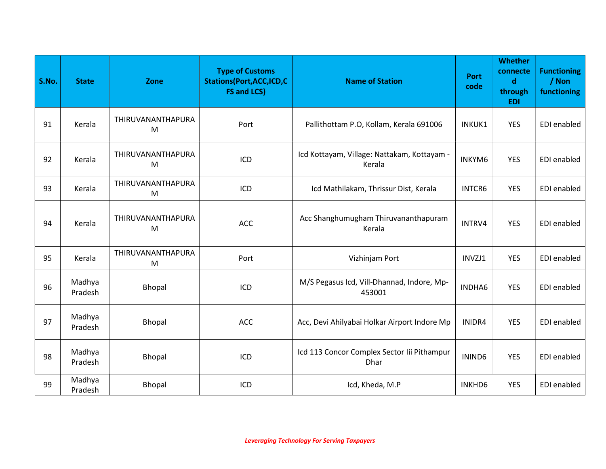| S.No. | <b>State</b>      | Zone                   | <b>Type of Customs</b><br><b>Stations(Port, ACC, ICD, C</b><br><b>FS and LCS)</b> | <b>Name of Station</b>                                | <b>Port</b><br>code | <b>Whether</b><br>connecte<br>$\mathbf d$<br>through<br><b>EDI</b> | <b>Functioning</b><br>/ Non<br>functioning |
|-------|-------------------|------------------------|-----------------------------------------------------------------------------------|-------------------------------------------------------|---------------------|--------------------------------------------------------------------|--------------------------------------------|
| 91    | Kerala            | THIRUVANANTHAPURA<br>M | Port                                                                              | Pallithottam P.O, Kollam, Kerala 691006               | INKUK1              | <b>YES</b>                                                         | EDI enabled                                |
| 92    | Kerala            | THIRUVANANTHAPURA<br>M | ICD                                                                               | Icd Kottayam, Village: Nattakam, Kottayam -<br>Kerala | INKYM6              | <b>YES</b>                                                         | EDI enabled                                |
| 93    | Kerala            | THIRUVANANTHAPURA<br>M | ICD                                                                               | Icd Mathilakam, Thrissur Dist, Kerala                 | INTCR6              | <b>YES</b>                                                         | <b>EDI</b> enabled                         |
| 94    | Kerala            | THIRUVANANTHAPURA<br>M | ACC                                                                               | Acc Shanghumugham Thiruvananthapuram<br>Kerala        | INTRV4              | <b>YES</b>                                                         | EDI enabled                                |
| 95    | Kerala            | THIRUVANANTHAPURA<br>M | Port                                                                              | Vizhinjam Port                                        | INVZJ1              | <b>YES</b>                                                         | EDI enabled                                |
| 96    | Madhya<br>Pradesh | Bhopal                 | ICD                                                                               | M/S Pegasus Icd, Vill-Dhannad, Indore, Mp-<br>453001  | INDHA6              | <b>YES</b>                                                         | EDI enabled                                |
| 97    | Madhya<br>Pradesh | Bhopal                 | <b>ACC</b>                                                                        | Acc, Devi Ahilyabai Holkar Airport Indore Mp          | INIDR4              | <b>YES</b>                                                         | EDI enabled                                |
| 98    | Madhya<br>Pradesh | <b>Bhopal</b>          | ICD                                                                               | Icd 113 Concor Complex Sector Iii Pithampur<br>Dhar   | ININD6              | <b>YES</b>                                                         | EDI enabled                                |
| 99    | Madhya<br>Pradesh | Bhopal                 | ICD                                                                               | Icd, Kheda, M.P                                       | <b>INKHD6</b>       | <b>YES</b>                                                         | EDI enabled                                |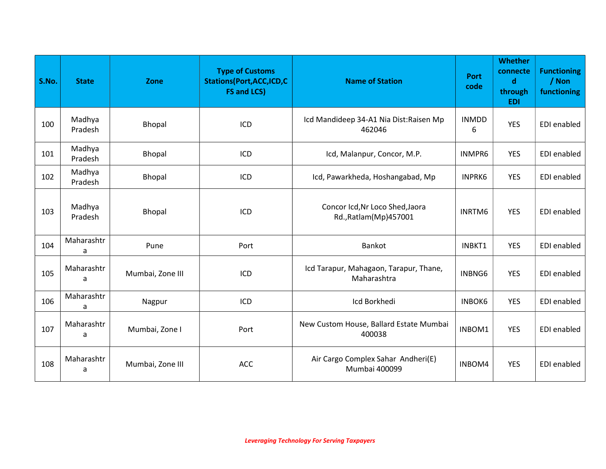| S.No. | <b>State</b>      | Zone             | <b>Type of Customs</b><br><b>Stations(Port, ACC, ICD, C</b><br><b>FS and LCS)</b> | <b>Name of Station</b>                                     | <b>Port</b><br>code | <b>Whether</b><br>connecte<br>$\mathbf d$<br>through<br><b>EDI</b> | <b>Functioning</b><br>/ Non<br>functioning |
|-------|-------------------|------------------|-----------------------------------------------------------------------------------|------------------------------------------------------------|---------------------|--------------------------------------------------------------------|--------------------------------------------|
| 100   | Madhya<br>Pradesh | Bhopal           | ICD                                                                               | Icd Mandideep 34-A1 Nia Dist: Raisen Mp<br>462046          | <b>INMDD</b><br>6   | <b>YES</b>                                                         | EDI enabled                                |
| 101   | Madhya<br>Pradesh | Bhopal           | ICD                                                                               | Icd, Malanpur, Concor, M.P.                                | INMPR6              | <b>YES</b>                                                         | EDI enabled                                |
| 102   | Madhya<br>Pradesh | Bhopal           | ICD                                                                               | Icd, Pawarkheda, Hoshangabad, Mp                           | <b>INPRK6</b>       | <b>YES</b>                                                         | EDI enabled                                |
| 103   | Madhya<br>Pradesh | <b>Bhopal</b>    | ICD                                                                               | Concor Icd, Nr Loco Shed, Jaora<br>Rd., Ratlam (Mp) 457001 | INRTM6              | <b>YES</b>                                                         | EDI enabled                                |
| 104   | Maharashtr<br>a   | Pune             | Port                                                                              | Bankot                                                     | INBKT1              | <b>YES</b>                                                         | EDI enabled                                |
| 105   | Maharashtr<br>a   | Mumbai, Zone III | ICD                                                                               | Icd Tarapur, Mahagaon, Tarapur, Thane,<br>Maharashtra      | INBNG6              | <b>YES</b>                                                         | <b>EDI</b> enabled                         |
| 106   | Maharashtr<br>a   | Nagpur           | ICD                                                                               | Icd Borkhedi                                               | <b>INBOK6</b>       | <b>YES</b>                                                         | EDI enabled                                |
| 107   | Maharashtr<br>a   | Mumbai, Zone I   | Port                                                                              | New Custom House, Ballard Estate Mumbai<br>400038          | INBOM1              | <b>YES</b>                                                         | <b>EDI</b> enabled                         |
| 108   | Maharashtr<br>a   | Mumbai, Zone III | <b>ACC</b>                                                                        | Air Cargo Complex Sahar Andheri(E)<br>Mumbai 400099        | INBOM4              | <b>YES</b>                                                         | EDI enabled                                |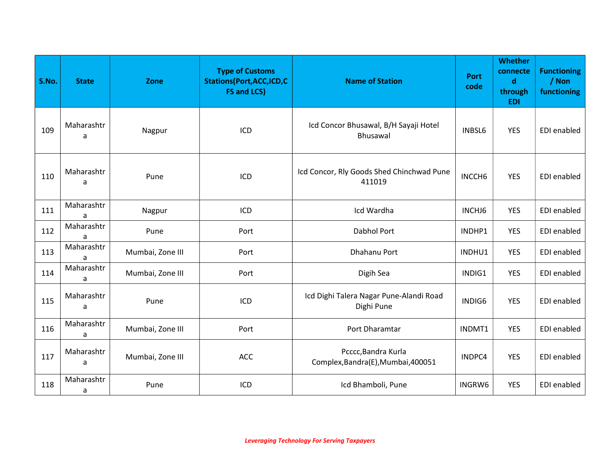| S.No. | <b>State</b>    | Zone             | <b>Type of Customs</b><br><b>Stations(Port, ACC, ICD, C</b><br><b>FS and LCS)</b> | <b>Name of Station</b>                                    | <b>Port</b><br>code | <b>Whether</b><br>connecte<br>$\mathbf d$<br>through<br><b>EDI</b> | <b>Functioning</b><br>/ Non<br>functioning |
|-------|-----------------|------------------|-----------------------------------------------------------------------------------|-----------------------------------------------------------|---------------------|--------------------------------------------------------------------|--------------------------------------------|
| 109   | Maharashtr<br>a | Nagpur           | ICD                                                                               | Icd Concor Bhusawal, B/H Sayaji Hotel<br>Bhusawal         | <b>INBSL6</b>       | <b>YES</b>                                                         | EDI enabled                                |
| 110   | Maharashtr<br>a | Pune             | ICD                                                                               | Icd Concor, Rly Goods Shed Chinchwad Pune<br>411019       | INCCH <sub>6</sub>  | <b>YES</b>                                                         | EDI enabled                                |
| 111   | Maharashtr      | Nagpur           | ICD                                                                               | Icd Wardha                                                | INCHJ6              | <b>YES</b>                                                         | EDI enabled                                |
| 112   | Maharashtr<br>a | Pune             | Port                                                                              | Dabhol Port                                               | INDHP1              | <b>YES</b>                                                         | EDI enabled                                |
| 113   | Maharashtr<br>a | Mumbai, Zone III | Port                                                                              | Dhahanu Port                                              | INDHU1              | <b>YES</b>                                                         | EDI enabled                                |
| 114   | Maharashtr<br>a | Mumbai, Zone III | Port                                                                              | Digih Sea                                                 | INDIG1              | <b>YES</b>                                                         | EDI enabled                                |
| 115   | Maharashtr<br>a | Pune             | ICD                                                                               | Icd Dighi Talera Nagar Pune-Alandi Road<br>Dighi Pune     | INDIG6              | <b>YES</b>                                                         | EDI enabled                                |
| 116   | Maharashtr<br>a | Mumbai, Zone III | Port                                                                              | Port Dharamtar                                            | INDMT1              | <b>YES</b>                                                         | EDI enabled                                |
| 117   | Maharashtr<br>a | Mumbai, Zone III | <b>ACC</b>                                                                        | Pcccc, Bandra Kurla<br>Complex, Bandra(E), Mumbai, 400051 | INDPC4              | <b>YES</b>                                                         | EDI enabled                                |
| 118   | Maharashtr<br>a | Pune             | ICD                                                                               | Icd Bhamboli, Pune                                        | INGRW6              | <b>YES</b>                                                         | EDI enabled                                |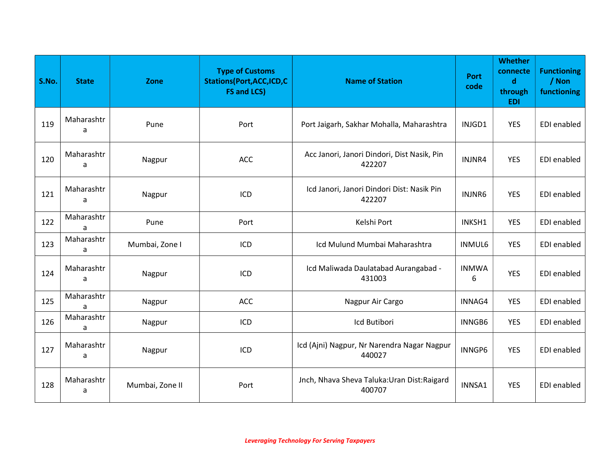| S.No. | <b>State</b>    | Zone            | <b>Type of Customs</b><br><b>Stations(Port, ACC, ICD, C</b><br><b>FS and LCS)</b> | <b>Name of Station</b>                                 | <b>Port</b><br>code | <b>Whether</b><br>connecte<br>d<br>through<br><b>EDI</b> | <b>Functioning</b><br>/ Non<br>functioning |
|-------|-----------------|-----------------|-----------------------------------------------------------------------------------|--------------------------------------------------------|---------------------|----------------------------------------------------------|--------------------------------------------|
| 119   | Maharashtr<br>a | Pune            | Port                                                                              | Port Jaigarh, Sakhar Mohalla, Maharashtra              | INJGD1              | <b>YES</b>                                               | EDI enabled                                |
| 120   | Maharashtr<br>a | Nagpur          | <b>ACC</b>                                                                        | Acc Janori, Janori Dindori, Dist Nasik, Pin<br>422207  | INJNR4              | <b>YES</b>                                               | <b>EDI</b> enabled                         |
| 121   | Maharashtr<br>a | Nagpur          | ICD                                                                               | Icd Janori, Janori Dindori Dist: Nasik Pin<br>422207   | INJNR6              | <b>YES</b>                                               | <b>EDI</b> enabled                         |
| 122   | Maharashtr<br>a | Pune            | Port                                                                              | Kelshi Port                                            | INKSH1              | <b>YES</b>                                               | EDI enabled                                |
| 123   | Maharashtr<br>a | Mumbai, Zone I  | ICD                                                                               | Icd Mulund Mumbai Maharashtra                          | <b>INMUL6</b>       | <b>YES</b>                                               | EDI enabled                                |
| 124   | Maharashtr<br>a | Nagpur          | ICD                                                                               | Icd Maliwada Daulatabad Aurangabad -<br>431003         | <b>INMWA</b><br>6   | <b>YES</b>                                               | EDI enabled                                |
| 125   | Maharashtr<br>a | Nagpur          | <b>ACC</b>                                                                        | Nagpur Air Cargo                                       | INNAG4              | <b>YES</b>                                               | EDI enabled                                |
| 126   | Maharashtr<br>a | Nagpur          | ICD                                                                               | Icd Butibori                                           | INNGB6              | <b>YES</b>                                               | EDI enabled                                |
| 127   | Maharashtr<br>a | Nagpur          | ICD                                                                               | Icd (Ajni) Nagpur, Nr Narendra Nagar Nagpur<br>440027  | INNGP6              | <b>YES</b>                                               | <b>EDI</b> enabled                         |
| 128   | Maharashtr<br>a | Mumbai, Zone II | Port                                                                              | Jnch, Nhava Sheva Taluka: Uran Dist: Raigard<br>400707 | INNSA1              | <b>YES</b>                                               | EDI enabled                                |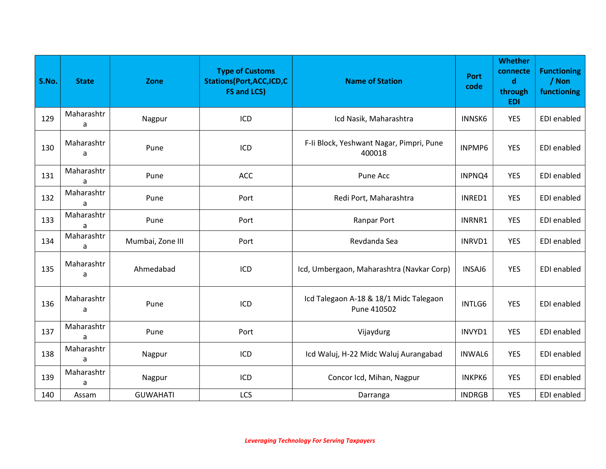| S.No. | <b>State</b>    | Zone             | <b>Type of Customs</b><br><b>Stations(Port, ACC, ICD, C</b><br><b>FS and LCS)</b> | <b>Name of Station</b>                                | <b>Port</b><br>code | <b>Whether</b><br>connecte<br>$\mathbf d$<br>through<br><b>EDI</b> | <b>Functioning</b><br>/ Non<br>functioning |
|-------|-----------------|------------------|-----------------------------------------------------------------------------------|-------------------------------------------------------|---------------------|--------------------------------------------------------------------|--------------------------------------------|
| 129   | Maharashtr<br>a | Nagpur           | ICD                                                                               | Icd Nasik, Maharashtra                                | <b>INNSK6</b>       | <b>YES</b>                                                         | EDI enabled                                |
| 130   | Maharashtr<br>a | Pune             | ICD                                                                               | F-Ii Block, Yeshwant Nagar, Pimpri, Pune<br>400018    | INPMP6              | <b>YES</b>                                                         | EDI enabled                                |
| 131   | Maharashtr<br>a | Pune             | <b>ACC</b>                                                                        | Pune Acc                                              | INPNQ4              | YES                                                                | EDI enabled                                |
| 132   | Maharashtr<br>a | Pune             | Port                                                                              | Redi Port, Maharashtra                                | INRED1              | <b>YES</b>                                                         | EDI enabled                                |
| 133   | Maharashtr<br>a | Pune             | Port                                                                              | Ranpar Port                                           | INRNR1              | <b>YES</b>                                                         | <b>EDI</b> enabled                         |
| 134   | Maharashtr<br>a | Mumbai, Zone III | Port                                                                              | Revdanda Sea                                          | INRVD1              | <b>YES</b>                                                         | EDI enabled                                |
| 135   | Maharashtr<br>a | Ahmedabad        | ICD                                                                               | Icd, Umbergaon, Maharashtra (Navkar Corp)             | INSAJ6              | <b>YES</b>                                                         | EDI enabled                                |
| 136   | Maharashtr<br>a | Pune             | ICD                                                                               | Icd Talegaon A-18 & 18/1 Midc Talegaon<br>Pune 410502 | INTLG6              | <b>YES</b>                                                         | <b>EDI</b> enabled                         |
| 137   | Maharashtr<br>a | Pune             | Port                                                                              | Vijaydurg                                             | INVYD1              | <b>YES</b>                                                         | <b>EDI</b> enabled                         |
| 138   | Maharashtr<br>a | Nagpur           | ICD                                                                               | Icd Waluj, H-22 Midc Waluj Aurangabad                 | <b>INWAL6</b>       | <b>YES</b>                                                         | EDI enabled                                |
| 139   | Maharashtr<br>a | Nagpur           | ICD                                                                               | Concor Icd, Mihan, Nagpur                             | <b>INKPK6</b>       | YES                                                                | EDI enabled                                |
| 140   | Assam           | <b>GUWAHATI</b>  | LCS                                                                               | Darranga                                              | <b>INDRGB</b>       | <b>YES</b>                                                         | EDI enabled                                |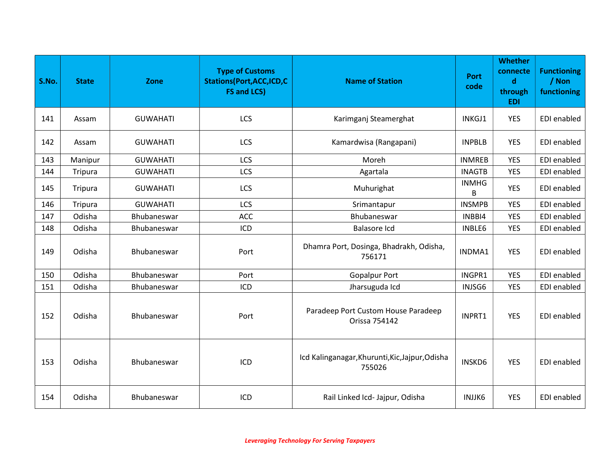| S.No. | <b>State</b> | Zone            | <b>Type of Customs</b><br><b>Stations (Port, ACC, ICD, C</b><br><b>FS and LCS)</b> | <b>Name of Station</b>                                    | Port<br>code      | <b>Whether</b><br>connecte<br>$\mathbf d$<br>through<br><b>EDI</b> | <b>Functioning</b><br>/ Non<br>functioning |
|-------|--------------|-----------------|------------------------------------------------------------------------------------|-----------------------------------------------------------|-------------------|--------------------------------------------------------------------|--------------------------------------------|
| 141   | Assam        | <b>GUWAHATI</b> | LCS                                                                                | Karimganj Steamerghat                                     | INKGJ1            | <b>YES</b>                                                         | EDI enabled                                |
| 142   | Assam        | <b>GUWAHATI</b> | LCS                                                                                | Kamardwisa (Rangapani)                                    | <b>INPBLB</b>     | YES                                                                | EDI enabled                                |
| 143   | Manipur      | <b>GUWAHATI</b> | <b>LCS</b>                                                                         | Moreh                                                     | <b>INMREB</b>     | <b>YES</b>                                                         | EDI enabled                                |
| 144   | Tripura      | <b>GUWAHATI</b> | LCS                                                                                | Agartala                                                  | <b>INAGTB</b>     | <b>YES</b>                                                         | EDI enabled                                |
| 145   | Tripura      | <b>GUWAHATI</b> | LCS                                                                                | Muhurighat                                                | <b>INMHG</b><br>B | <b>YES</b>                                                         | <b>EDI</b> enabled                         |
| 146   | Tripura      | <b>GUWAHATI</b> | LCS                                                                                | Srimantapur                                               | <b>INSMPB</b>     | <b>YES</b>                                                         | EDI enabled                                |
| 147   | Odisha       | Bhubaneswar     | ACC                                                                                | Bhubaneswar                                               | INBBI4            | <b>YES</b>                                                         | EDI enabled                                |
| 148   | Odisha       | Bhubaneswar     | ICD                                                                                | <b>Balasore Icd</b>                                       | INBLE6            | <b>YES</b>                                                         | <b>EDI</b> enabled                         |
| 149   | Odisha       | Bhubaneswar     | Port                                                                               | Dhamra Port, Dosinga, Bhadrakh, Odisha,<br>756171         | INDMA1            | <b>YES</b>                                                         | <b>EDI</b> enabled                         |
| 150   | Odisha       | Bhubaneswar     | Port                                                                               | <b>Gopalpur Port</b>                                      | INGPR1            | <b>YES</b>                                                         | EDI enabled                                |
| 151   | Odisha       | Bhubaneswar     | ICD                                                                                | Jharsuguda Icd                                            | INJSG6            | <b>YES</b>                                                         | EDI enabled                                |
| 152   | Odisha       | Bhubaneswar     | Port                                                                               | Paradeep Port Custom House Paradeep<br>Orissa 754142      | INPRT1            | <b>YES</b>                                                         | <b>EDI</b> enabled                         |
| 153   | Odisha       | Bhubaneswar     | ICD                                                                                | Icd Kalinganagar, Khurunti, Kic, Jajpur, Odisha<br>755026 | <b>INSKD6</b>     | <b>YES</b>                                                         | EDI enabled                                |
| 154   | Odisha       | Bhubaneswar     | ICD                                                                                | Rail Linked Icd- Jajpur, Odisha                           | INJJK6            | <b>YES</b>                                                         | EDI enabled                                |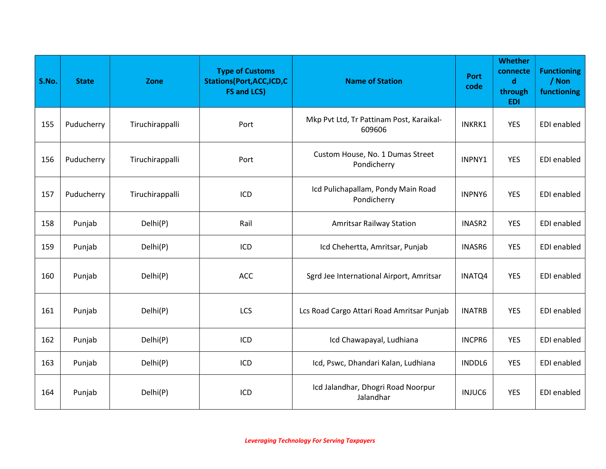| S.No. | <b>State</b> | Zone            | <b>Type of Customs</b><br><b>Stations(Port, ACC, ICD, C</b><br><b>FS and LCS)</b> | <b>Name of Station</b>                             | <b>Port</b><br>code | <b>Whether</b><br>connecte<br>$\mathbf d$<br>through<br><b>EDI</b> | <b>Functioning</b><br>/ Non<br>functioning |
|-------|--------------|-----------------|-----------------------------------------------------------------------------------|----------------------------------------------------|---------------------|--------------------------------------------------------------------|--------------------------------------------|
| 155   | Puducherry   | Tiruchirappalli | Port                                                                              | Mkp Pvt Ltd, Tr Pattinam Post, Karaikal-<br>609606 | INKRK1              | <b>YES</b>                                                         | EDI enabled                                |
| 156   | Puducherry   | Tiruchirappalli | Port                                                                              | Custom House, No. 1 Dumas Street<br>Pondicherry    | INPNY1              | <b>YES</b>                                                         | EDI enabled                                |
| 157   | Puducherry   | Tiruchirappalli | ICD                                                                               | Icd Pulichapallam, Pondy Main Road<br>Pondicherry  | <b>INPNY6</b>       | <b>YES</b>                                                         | EDI enabled                                |
| 158   | Punjab       | Delhi(P)        | Rail                                                                              | <b>Amritsar Railway Station</b>                    | INASR2              | <b>YES</b>                                                         | EDI enabled                                |
| 159   | Punjab       | Delhi(P)        | ICD                                                                               | Icd Chehertta, Amritsar, Punjab                    | INASR6              | <b>YES</b>                                                         | EDI enabled                                |
| 160   | Punjab       | Delhi(P)        | ACC                                                                               | Sgrd Jee International Airport, Amritsar           | INATQ4              | <b>YES</b>                                                         | EDI enabled                                |
| 161   | Punjab       | Delhi(P)        | LCS                                                                               | Lcs Road Cargo Attari Road Amritsar Punjab         | <b>INATRB</b>       | <b>YES</b>                                                         | EDI enabled                                |
| 162   | Punjab       | Delhi(P)        | ICD                                                                               | Icd Chawapayal, Ludhiana                           | INCPR6              | <b>YES</b>                                                         | EDI enabled                                |
| 163   | Punjab       | Delhi(P)        | ICD                                                                               | Icd, Pswc, Dhandari Kalan, Ludhiana                | INDDL6              | <b>YES</b>                                                         | <b>EDI</b> enabled                         |
| 164   | Punjab       | Delhi(P)        | ICD                                                                               | Icd Jalandhar, Dhogri Road Noorpur<br>Jalandhar    | <b>INJUC6</b>       | <b>YES</b>                                                         | <b>EDI</b> enabled                         |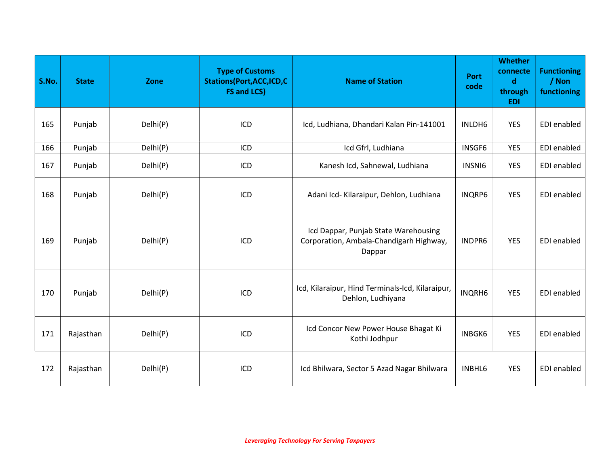| S.No. | <b>State</b> | Zone     | <b>Type of Customs</b><br><b>Stations(Port, ACC, ICD, C</b><br><b>FS and LCS)</b> | <b>Name of Station</b>                                                                    | <b>Port</b><br>code | <b>Whether</b><br>connecte<br>$\mathbf d$<br>through<br><b>EDI</b> | <b>Functioning</b><br>/ Non<br>functioning |
|-------|--------------|----------|-----------------------------------------------------------------------------------|-------------------------------------------------------------------------------------------|---------------------|--------------------------------------------------------------------|--------------------------------------------|
| 165   | Punjab       | Delhi(P) | ICD                                                                               | Icd, Ludhiana, Dhandari Kalan Pin-141001                                                  | INLDH6              | <b>YES</b>                                                         | EDI enabled                                |
| 166   | Punjab       | Delhi(P) | ICD                                                                               | Icd Gfrl, Ludhiana                                                                        | INSGF6              | <b>YES</b>                                                         | EDI enabled                                |
| 167   | Punjab       | Delhi(P) | ICD                                                                               | Kanesh Icd, Sahnewal, Ludhiana                                                            | INSNI6              | <b>YES</b>                                                         | EDI enabled                                |
| 168   | Punjab       | Delhi(P) | ICD                                                                               | Adani Icd- Kilaraipur, Dehlon, Ludhiana                                                   | <b>INQRP6</b>       | <b>YES</b>                                                         | EDI enabled                                |
| 169   | Punjab       | Delhi(P) | ICD                                                                               | Icd Dappar, Punjab State Warehousing<br>Corporation, Ambala-Chandigarh Highway,<br>Dappar | INDPR6              | <b>YES</b>                                                         | EDI enabled                                |
| 170   | Punjab       | Delhi(P) | ICD                                                                               | Icd, Kilaraipur, Hind Terminals-Icd, Kilaraipur,<br>Dehlon, Ludhiyana                     | <b>INQRH6</b>       | <b>YES</b>                                                         | EDI enabled                                |
| 171   | Rajasthan    | Delhi(P) | ICD                                                                               | Icd Concor New Power House Bhagat Ki<br>Kothi Jodhpur                                     | <b>INBGK6</b>       | <b>YES</b>                                                         | EDI enabled                                |
| 172   | Rajasthan    | Delhi(P) | ICD                                                                               | Icd Bhilwara, Sector 5 Azad Nagar Bhilwara                                                | INBHL6              | <b>YES</b>                                                         | EDI enabled                                |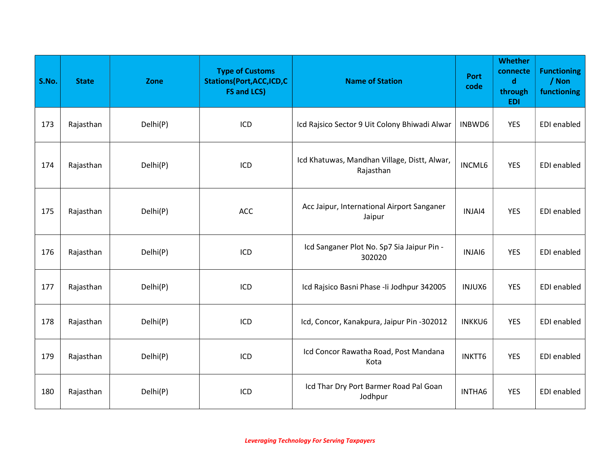| S.No. | <b>State</b> | Zone     | <b>Type of Customs</b><br><b>Stations (Port, ACC, ICD, C</b><br><b>FS and LCS)</b> | <b>Name of Station</b>                                    | <b>Port</b><br>code | <b>Whether</b><br>connecte<br>$\mathbf d$<br>through<br><b>EDI</b> | <b>Functioning</b><br>/ Non<br>functioning |
|-------|--------------|----------|------------------------------------------------------------------------------------|-----------------------------------------------------------|---------------------|--------------------------------------------------------------------|--------------------------------------------|
| 173   | Rajasthan    | Delhi(P) | ICD                                                                                | Icd Rajsico Sector 9 Uit Colony Bhiwadi Alwar             | INBWD6              | <b>YES</b>                                                         | EDI enabled                                |
| 174   | Rajasthan    | Delhi(P) | ICD                                                                                | Icd Khatuwas, Mandhan Village, Distt, Alwar,<br>Rajasthan | <b>INCML6</b>       | <b>YES</b>                                                         | <b>EDI</b> enabled                         |
| 175   | Rajasthan    | Delhi(P) | <b>ACC</b>                                                                         | Acc Jaipur, International Airport Sanganer<br>Jaipur      | INJAI4              | <b>YES</b>                                                         | EDI enabled                                |
| 176   | Rajasthan    | Delhi(P) | ICD                                                                                | Icd Sanganer Plot No. Sp7 Sia Jaipur Pin -<br>302020      | INJAI6              | <b>YES</b>                                                         | EDI enabled                                |
| 177   | Rajasthan    | Delhi(P) | ICD                                                                                | Icd Rajsico Basni Phase - Ii Jodhpur 342005               | INJUX6              | <b>YES</b>                                                         | EDI enabled                                |
| 178   | Rajasthan    | Delhi(P) | ICD                                                                                | Icd, Concor, Kanakpura, Jaipur Pin -302012                | <b>INKKU6</b>       | <b>YES</b>                                                         | EDI enabled                                |
| 179   | Rajasthan    | Delhi(P) | ICD                                                                                | Icd Concor Rawatha Road, Post Mandana<br>Kota             | INKTT6              | <b>YES</b>                                                         | EDI enabled                                |
| 180   | Rajasthan    | Delhi(P) | ICD                                                                                | Icd Thar Dry Port Barmer Road Pal Goan<br>Jodhpur         | INTHA6              | <b>YES</b>                                                         | EDI enabled                                |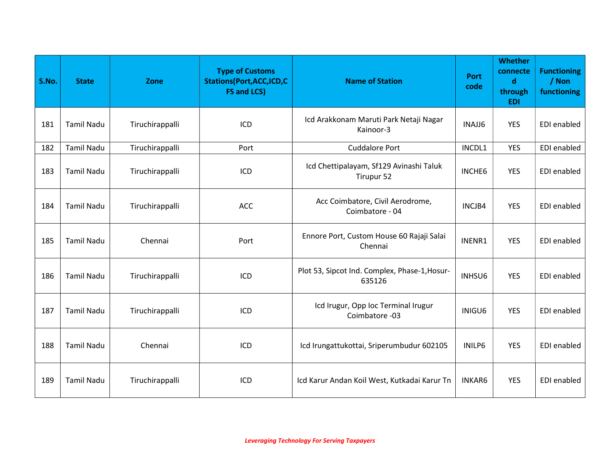| S.No. | <b>State</b>      | Zone            | <b>Type of Customs</b><br><b>Stations(Port, ACC, ICD, C</b><br><b>FS and LCS)</b> | <b>Name of Station</b>                                  | <b>Port</b><br>code | <b>Whether</b><br>connecte<br>$\mathbf d$<br>through<br><b>EDI</b> | <b>Functioning</b><br>/ Non<br>functioning |
|-------|-------------------|-----------------|-----------------------------------------------------------------------------------|---------------------------------------------------------|---------------------|--------------------------------------------------------------------|--------------------------------------------|
| 181   | <b>Tamil Nadu</b> | Tiruchirappalli | ICD                                                                               | Icd Arakkonam Maruti Park Netaji Nagar<br>Kainoor-3     | INAJJ6              | <b>YES</b>                                                         | <b>EDI</b> enabled                         |
| 182   | <b>Tamil Nadu</b> | Tiruchirappalli | Port                                                                              | <b>Cuddalore Port</b>                                   | INCDL1              | <b>YES</b>                                                         | EDI enabled                                |
| 183   | <b>Tamil Nadu</b> | Tiruchirappalli | ICD                                                                               | Icd Chettipalayam, Sf129 Avinashi Taluk<br>Tirupur 52   | <b>INCHE6</b>       | <b>YES</b>                                                         | EDI enabled                                |
| 184   | <b>Tamil Nadu</b> | Tiruchirappalli | <b>ACC</b>                                                                        | Acc Coimbatore, Civil Aerodrome,<br>Coimbatore - 04     | INCJB4              | <b>YES</b>                                                         | <b>EDI</b> enabled                         |
| 185   | <b>Tamil Nadu</b> | Chennai         | Port                                                                              | Ennore Port, Custom House 60 Rajaji Salai<br>Chennai    | INENR1              | <b>YES</b>                                                         | EDI enabled                                |
| 186   | <b>Tamil Nadu</b> | Tiruchirappalli | ICD                                                                               | Plot 53, Sipcot Ind. Complex, Phase-1, Hosur-<br>635126 | INHSU6              | <b>YES</b>                                                         | EDI enabled                                |
| 187   | <b>Tamil Nadu</b> | Tiruchirappalli | ICD                                                                               | Icd Irugur, Opp Ioc Terminal Irugur<br>Coimbatore -03   | INIGU6              | <b>YES</b>                                                         | <b>EDI</b> enabled                         |
| 188   | <b>Tamil Nadu</b> | Chennai         | ICD                                                                               | Icd Irungattukottai, Sriperumbudur 602105               | INILP6              | <b>YES</b>                                                         | EDI enabled                                |
| 189   | <b>Tamil Nadu</b> | Tiruchirappalli | ICD                                                                               | Icd Karur Andan Koil West, Kutkadai Karur Tn            | <b>INKAR6</b>       | <b>YES</b>                                                         | EDI enabled                                |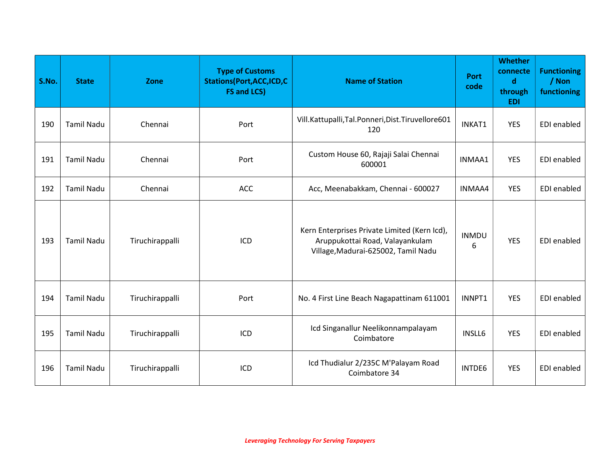| S.No. | <b>State</b>      | Zone            | <b>Type of Customs</b><br><b>Stations(Port, ACC, ICD, C</b><br><b>FS and LCS)</b> | <b>Name of Station</b>                                                                                                 | <b>Port</b><br>code | <b>Whether</b><br>connecte<br>$\mathbf d$<br>through<br><b>EDI</b> | <b>Functioning</b><br>/ Non<br>functioning |
|-------|-------------------|-----------------|-----------------------------------------------------------------------------------|------------------------------------------------------------------------------------------------------------------------|---------------------|--------------------------------------------------------------------|--------------------------------------------|
| 190   | <b>Tamil Nadu</b> | Chennai         | Port                                                                              | Vill.Kattupalli,Tal.Ponneri,Dist.Tiruvellore601<br>120                                                                 | INKAT1              | <b>YES</b>                                                         | EDI enabled                                |
| 191   | <b>Tamil Nadu</b> | Chennai         | Port                                                                              | Custom House 60, Rajaji Salai Chennai<br>600001                                                                        | INMAA1              | <b>YES</b>                                                         | EDI enabled                                |
| 192   | <b>Tamil Nadu</b> | Chennai         | <b>ACC</b>                                                                        | Acc, Meenabakkam, Chennai - 600027                                                                                     | INMAA4              | <b>YES</b>                                                         | <b>EDI</b> enabled                         |
| 193   | <b>Tamil Nadu</b> | Tiruchirappalli | ICD                                                                               | Kern Enterprises Private Limited (Kern Icd),<br>Aruppukottai Road, Valayankulam<br>Village, Madurai-625002, Tamil Nadu | <b>INMDU</b><br>6   | <b>YES</b>                                                         | EDI enabled                                |
| 194   | <b>Tamil Nadu</b> | Tiruchirappalli | Port                                                                              | No. 4 First Line Beach Nagapattinam 611001                                                                             | INNPT1              | <b>YES</b>                                                         | EDI enabled                                |
| 195   | <b>Tamil Nadu</b> | Tiruchirappalli | ICD                                                                               | Icd Singanallur Neelikonnampalayam<br>Coimbatore                                                                       | <b>INSLL6</b>       | <b>YES</b>                                                         | <b>EDI</b> enabled                         |
| 196   | <b>Tamil Nadu</b> | Tiruchirappalli | ICD                                                                               | Icd Thudialur 2/235C M'Palayam Road<br>Coimbatore 34                                                                   | INTDE6              | <b>YES</b>                                                         | <b>EDI</b> enabled                         |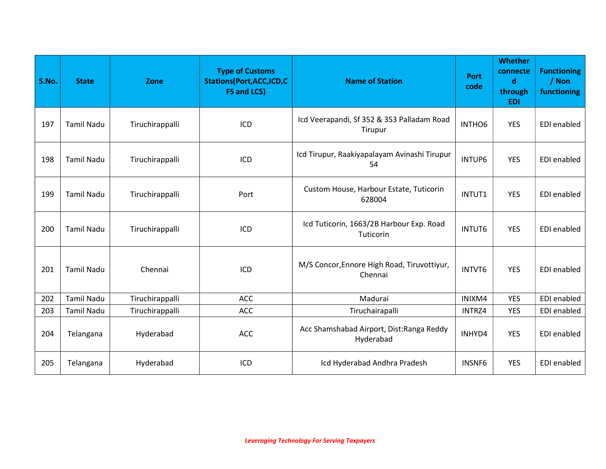| S.No. | <b>State</b>      | Zone            | <b>Type of Customs</b><br><b>Stations (Port, ACC, ICD, C</b><br><b>FS and LCS)</b> | <b>Name of Station</b>                                 | <b>Port</b><br>code | <b>Whether</b><br>connecte<br>$\mathbf d$<br>through<br><b>EDI</b> | <b>Functioning</b><br>/ Non<br>functioning |
|-------|-------------------|-----------------|------------------------------------------------------------------------------------|--------------------------------------------------------|---------------------|--------------------------------------------------------------------|--------------------------------------------|
| 197   | <b>Tamil Nadu</b> | Tiruchirappalli | ICD                                                                                | Icd Veerapandi, Sf 352 & 353 Palladam Road<br>Tirupur  | INTHO6              | <b>YES</b>                                                         | EDI enabled                                |
| 198   | <b>Tamil Nadu</b> | Tiruchirappalli | ICD                                                                                | Icd Tirupur, Raakiyapalayam Avinashi Tirupur<br>54     | <b>INTUP6</b>       | <b>YES</b>                                                         | EDI enabled                                |
| 199   | <b>Tamil Nadu</b> | Tiruchirappalli | Port                                                                               | Custom House, Harbour Estate, Tuticorin<br>628004      | INTUT1              | <b>YES</b>                                                         | EDI enabled                                |
| 200   | <b>Tamil Nadu</b> | Tiruchirappalli | ICD                                                                                | Icd Tuticorin, 1663/2B Harbour Exp. Road<br>Tuticorin  | <b>INTUT6</b>       | <b>YES</b>                                                         | EDI enabled                                |
| 201   | <b>Tamil Nadu</b> | Chennai         | ICD                                                                                | M/S Concor, Ennore High Road, Tiruvottiyur,<br>Chennai | INTVT6              | <b>YES</b>                                                         | EDI enabled                                |
| 202   | <b>Tamil Nadu</b> | Tiruchirappalli | <b>ACC</b>                                                                         | Madurai                                                | INIXM4              | <b>YES</b>                                                         | EDI enabled                                |
| 203   | <b>Tamil Nadu</b> | Tiruchirappalli | ACC                                                                                | Tiruchairapalli                                        | INTRZ4              | <b>YES</b>                                                         | EDI enabled                                |
| 204   | Telangana         | Hyderabad       | <b>ACC</b>                                                                         | Acc Shamshabad Airport, Dist: Ranga Reddy<br>Hyderabad | INHYD4              | <b>YES</b>                                                         | EDI enabled                                |
| 205   | Telangana         | Hyderabad       | ICD                                                                                | Icd Hyderabad Andhra Pradesh                           | INSNF6              | <b>YES</b>                                                         | EDI enabled                                |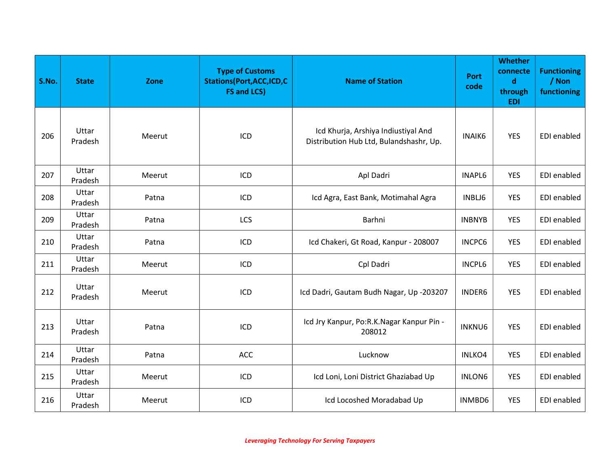| S.No. | <b>State</b>     | Zone   | <b>Type of Customs</b><br><b>Stations(Port,ACC,ICD,C</b><br><b>FS and LCS)</b> | <b>Name of Station</b>                                                         | Port<br>code  | <b>Whether</b><br>connecte<br>$\mathbf d$<br>through<br><b>EDI</b> | <b>Functioning</b><br>/ Non<br>functioning |
|-------|------------------|--------|--------------------------------------------------------------------------------|--------------------------------------------------------------------------------|---------------|--------------------------------------------------------------------|--------------------------------------------|
| 206   | Uttar<br>Pradesh | Meerut | ICD                                                                            | Icd Khurja, Arshiya Indiustiyal And<br>Distribution Hub Ltd, Bulandshashr, Up. | <b>INAIK6</b> | <b>YES</b>                                                         | EDI enabled                                |
| 207   | Uttar<br>Pradesh | Meerut | ICD                                                                            | Apl Dadri                                                                      | <b>INAPL6</b> | <b>YES</b>                                                         | EDI enabled                                |
| 208   | Uttar<br>Pradesh | Patna  | ICD                                                                            | Icd Agra, East Bank, Motimahal Agra                                            | INBLJ6        | <b>YES</b>                                                         | EDI enabled                                |
| 209   | Uttar<br>Pradesh | Patna  | LCS                                                                            | Barhni                                                                         | <b>INBNYB</b> | <b>YES</b>                                                         | EDI enabled                                |
| 210   | Uttar<br>Pradesh | Patna  | ICD                                                                            | Icd Chakeri, Gt Road, Kanpur - 208007                                          | <b>INCPC6</b> | <b>YES</b>                                                         | EDI enabled                                |
| 211   | Uttar<br>Pradesh | Meerut | ICD                                                                            | Cpl Dadri                                                                      | <b>INCPL6</b> | <b>YES</b>                                                         | EDI enabled                                |
| 212   | Uttar<br>Pradesh | Meerut | ICD                                                                            | Icd Dadri, Gautam Budh Nagar, Up -203207                                       | INDER6        | <b>YES</b>                                                         | EDI enabled                                |
| 213   | Uttar<br>Pradesh | Patna  | ICD                                                                            | Icd Jry Kanpur, Po:R.K.Nagar Kanpur Pin -<br>208012                            | <b>INKNU6</b> | <b>YES</b>                                                         | EDI enabled                                |
| 214   | Uttar<br>Pradesh | Patna  | <b>ACC</b>                                                                     | Lucknow                                                                        | INLKO4        | <b>YES</b>                                                         | EDI enabled                                |
| 215   | Uttar<br>Pradesh | Meerut | ICD                                                                            | Icd Loni, Loni District Ghaziabad Up                                           | INLON6        | <b>YES</b>                                                         | <b>EDI</b> enabled                         |
| 216   | Uttar<br>Pradesh | Meerut | ICD                                                                            | Icd Locoshed Moradabad Up                                                      | INMBD6        | <b>YES</b>                                                         | EDI enabled                                |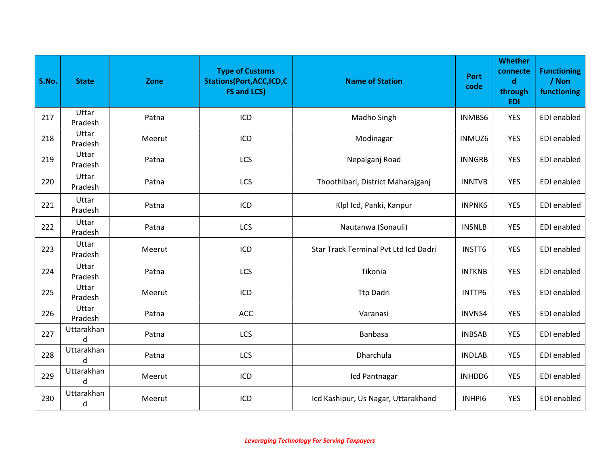| S.No. | <b>State</b>     | Zone   | <b>Type of Customs</b><br><b>Stations(Port, ACC, ICD, C</b><br><b>FS and LCS)</b> | <b>Name of Station</b>                | <b>Port</b><br>code | <b>Whether</b><br>connecte<br>$\mathbf d$<br>through<br><b>EDI</b> | <b>Functioning</b><br>/ Non<br>functioning |
|-------|------------------|--------|-----------------------------------------------------------------------------------|---------------------------------------|---------------------|--------------------------------------------------------------------|--------------------------------------------|
| 217   | Uttar<br>Pradesh | Patna  | ICD                                                                               | Madho Singh                           | INMBS6              | <b>YES</b>                                                         | EDI enabled                                |
| 218   | Uttar<br>Pradesh | Meerut | ICD                                                                               | Modinagar                             | INMUZ6              | <b>YES</b>                                                         | EDI enabled                                |
| 219   | Uttar<br>Pradesh | Patna  | LCS                                                                               | Nepalganj Road                        | <b>INNGRB</b>       | <b>YES</b>                                                         | EDI enabled                                |
| 220   | Uttar<br>Pradesh | Patna  | LCS                                                                               | Thoothibari, District Maharajganj     | <b>INNTVB</b>       | <b>YES</b>                                                         | EDI enabled                                |
| 221   | Uttar<br>Pradesh | Patna  | ICD                                                                               | Klpl Icd, Panki, Kanpur               | <b>INPNK6</b>       | <b>YES</b>                                                         | <b>EDI</b> enabled                         |
| 222   | Uttar<br>Pradesh | Patna  | LCS                                                                               | Nautanwa (Sonauli)                    | <b>INSNLB</b>       | <b>YES</b>                                                         | EDI enabled                                |
| 223   | Uttar<br>Pradesh | Meerut | ICD                                                                               | Star Track Terminal Pvt Ltd Icd Dadri | INSTT6              | <b>YES</b>                                                         | EDI enabled                                |
| 224   | Uttar<br>Pradesh | Patna  | LCS                                                                               | Tikonia                               | <b>INTKNB</b>       | <b>YES</b>                                                         | <b>EDI</b> enabled                         |
| 225   | Uttar<br>Pradesh | Meerut | ICD                                                                               | <b>Ttp Dadri</b>                      | INTTP6              | <b>YES</b>                                                         | EDI enabled                                |
| 226   | Uttar<br>Pradesh | Patna  | ACC                                                                               | Varanasi                              | INVNS4              | <b>YES</b>                                                         | EDI enabled                                |
| 227   | Uttarakhan<br>d  | Patna  | LCS                                                                               | Banbasa                               | <b>INBSAB</b>       | <b>YES</b>                                                         | EDI enabled                                |
| 228   | Uttarakhan<br>d  | Patna  | LCS                                                                               | Dharchula                             | <b>INDLAB</b>       | <b>YES</b>                                                         | EDI enabled                                |
| 229   | Uttarakhan<br>d  | Meerut | ICD                                                                               | Icd Pantnagar                         | INHDD6              | <b>YES</b>                                                         | EDI enabled                                |
| 230   | Uttarakhan<br>d  | Meerut | ICD                                                                               | Icd Kashipur, Us Nagar, Uttarakhand   | INHPI6              | <b>YES</b>                                                         | EDI enabled                                |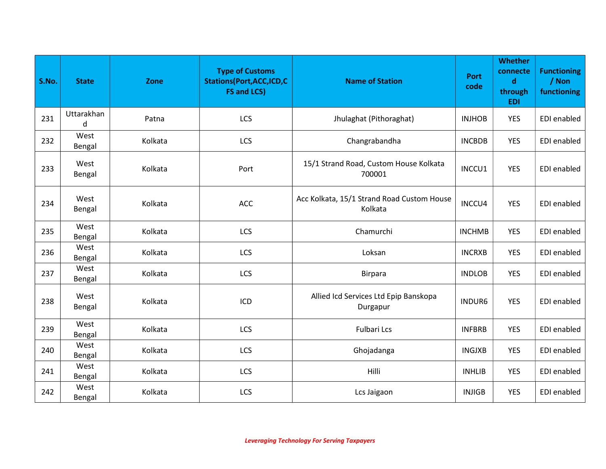| S.No. | <b>State</b>    | Zone    | <b>Type of Customs</b><br><b>Stations(Port, ACC, ICD, C</b><br><b>FS and LCS)</b> | <b>Name of Station</b>                                | <b>Port</b><br>code | <b>Whether</b><br>connecte<br>$\mathbf d$<br>through<br><b>EDI</b> | <b>Functioning</b><br>/ Non<br>functioning |
|-------|-----------------|---------|-----------------------------------------------------------------------------------|-------------------------------------------------------|---------------------|--------------------------------------------------------------------|--------------------------------------------|
| 231   | Uttarakhan<br>d | Patna   | LCS                                                                               | Jhulaghat (Pithoraghat)                               | <b>INJHOB</b>       | <b>YES</b>                                                         | <b>EDI</b> enabled                         |
| 232   | West<br>Bengal  | Kolkata | LCS                                                                               | Changrabandha                                         | <b>INCBDB</b>       | <b>YES</b>                                                         | EDI enabled                                |
| 233   | West<br>Bengal  | Kolkata | Port                                                                              | 15/1 Strand Road, Custom House Kolkata<br>700001      | INCCU1              | <b>YES</b>                                                         | <b>EDI</b> enabled                         |
| 234   | West<br>Bengal  | Kolkata | <b>ACC</b>                                                                        | Acc Kolkata, 15/1 Strand Road Custom House<br>Kolkata | INCCU4              | <b>YES</b>                                                         | <b>EDI</b> enabled                         |
| 235   | West<br>Bengal  | Kolkata | LCS                                                                               | Chamurchi                                             | <b>INCHMB</b>       | <b>YES</b>                                                         | <b>EDI</b> enabled                         |
| 236   | West<br>Bengal  | Kolkata | LCS                                                                               | Loksan                                                | <b>INCRXB</b>       | <b>YES</b>                                                         | EDI enabled                                |
| 237   | West<br>Bengal  | Kolkata | LCS                                                                               | <b>Birpara</b>                                        | <b>INDLOB</b>       | <b>YES</b>                                                         | <b>EDI</b> enabled                         |
| 238   | West<br>Bengal  | Kolkata | ICD                                                                               | Allied Icd Services Ltd Epip Banskopa<br>Durgapur     | <b>INDUR6</b>       | <b>YES</b>                                                         | <b>EDI</b> enabled                         |
| 239   | West<br>Bengal  | Kolkata | LCS                                                                               | <b>Fulbari Lcs</b>                                    | <b>INFBRB</b>       | <b>YES</b>                                                         | <b>EDI</b> enabled                         |
| 240   | West<br>Bengal  | Kolkata | LCS                                                                               | Ghojadanga                                            | <b>INGJXB</b>       | <b>YES</b>                                                         | EDI enabled                                |
| 241   | West<br>Bengal  | Kolkata | LCS                                                                               | Hilli                                                 | <b>INHLIB</b>       | <b>YES</b>                                                         | EDI enabled                                |
| 242   | West<br>Bengal  | Kolkata | LCS                                                                               | Lcs Jaigaon                                           | <b>INJIGB</b>       | <b>YES</b>                                                         | EDI enabled                                |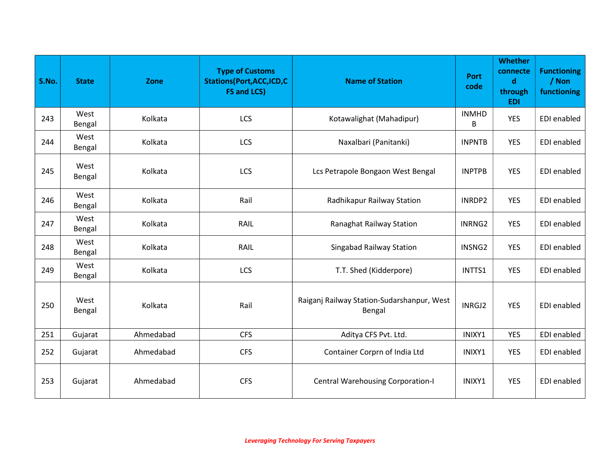| S.No. | <b>State</b>   | Zone      | <b>Type of Customs</b><br><b>Stations(Port, ACC, ICD, C</b><br><b>FS and LCS)</b> | <b>Name of Station</b>                               | <b>Port</b><br>code | <b>Whether</b><br>connecte<br>$\mathbf d$<br>through<br><b>EDI</b> | <b>Functioning</b><br>/ Non<br>functioning |
|-------|----------------|-----------|-----------------------------------------------------------------------------------|------------------------------------------------------|---------------------|--------------------------------------------------------------------|--------------------------------------------|
| 243   | West<br>Bengal | Kolkata   | LCS                                                                               | Kotawalighat (Mahadipur)                             | <b>INMHD</b><br>B   | <b>YES</b>                                                         | <b>EDI</b> enabled                         |
| 244   | West<br>Bengal | Kolkata   | LCS                                                                               | Naxalbari (Panitanki)                                | <b>INPNTB</b>       | <b>YES</b>                                                         | EDI enabled                                |
| 245   | West<br>Bengal | Kolkata   | LCS                                                                               | Lcs Petrapole Bongaon West Bengal                    | <b>INPTPB</b>       | <b>YES</b>                                                         | EDI enabled                                |
| 246   | West<br>Bengal | Kolkata   | Rail                                                                              | Radhikapur Railway Station                           | INRDP2              | <b>YES</b>                                                         | EDI enabled                                |
| 247   | West<br>Bengal | Kolkata   | RAIL                                                                              | Ranaghat Railway Station                             | INRNG2              | <b>YES</b>                                                         | EDI enabled                                |
| 248   | West<br>Bengal | Kolkata   | RAIL                                                                              | <b>Singabad Railway Station</b>                      | INSNG2              | <b>YES</b>                                                         | EDI enabled                                |
| 249   | West<br>Bengal | Kolkata   | LCS                                                                               | T.T. Shed (Kidderpore)                               | INTTS1              | <b>YES</b>                                                         | EDI enabled                                |
| 250   | West<br>Bengal | Kolkata   | Rail                                                                              | Raiganj Railway Station-Sudarshanpur, West<br>Bengal | INRGJ2              | <b>YES</b>                                                         | EDI enabled                                |
| 251   | Gujarat        | Ahmedabad | <b>CFS</b>                                                                        | Aditya CFS Pvt. Ltd.                                 | INIXY1              | <b>YES</b>                                                         | EDI enabled                                |
| 252   | Gujarat        | Ahmedabad | <b>CFS</b>                                                                        | Container Corprn of India Ltd                        | INIXY1              | <b>YES</b>                                                         | EDI enabled                                |
| 253   | Gujarat        | Ahmedabad | <b>CFS</b>                                                                        | <b>Central Warehousing Corporation-I</b>             | INIXY1              | <b>YES</b>                                                         | <b>EDI</b> enabled                         |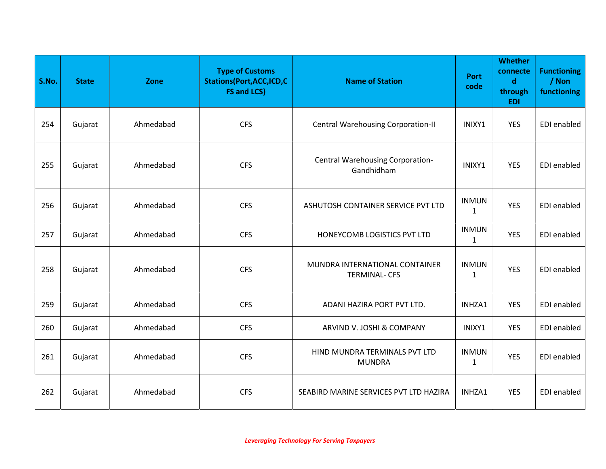| S.No. | <b>State</b> | Zone      | <b>Type of Customs</b><br><b>Stations (Port, ACC, ICD, C</b><br><b>FS and LCS)</b> | <b>Name of Station</b>                                 | <b>Port</b><br>code          | <b>Whether</b><br>connecte<br>$\mathbf d$<br>through<br><b>EDI</b> | <b>Functioning</b><br>/ Non<br>functioning |
|-------|--------------|-----------|------------------------------------------------------------------------------------|--------------------------------------------------------|------------------------------|--------------------------------------------------------------------|--------------------------------------------|
| 254   | Gujarat      | Ahmedabad | <b>CFS</b>                                                                         | <b>Central Warehousing Corporation-II</b>              | INIXY1                       | <b>YES</b>                                                         | EDI enabled                                |
| 255   | Gujarat      | Ahmedabad | <b>CFS</b>                                                                         | <b>Central Warehousing Corporation-</b><br>Gandhidham  | INIXY1                       | <b>YES</b>                                                         | EDI enabled                                |
| 256   | Gujarat      | Ahmedabad | <b>CFS</b>                                                                         | ASHUTOSH CONTAINER SERVICE PVT LTD                     | <b>INMUN</b><br>$\mathbf{1}$ | <b>YES</b>                                                         | <b>EDI</b> enabled                         |
| 257   | Gujarat      | Ahmedabad | <b>CFS</b>                                                                         | HONEYCOMB LOGISTICS PVT LTD                            | <b>INMUN</b><br>1            | <b>YES</b>                                                         | EDI enabled                                |
| 258   | Gujarat      | Ahmedabad | <b>CFS</b>                                                                         | MUNDRA INTERNATIONAL CONTAINER<br><b>TERMINAL- CFS</b> | <b>INMUN</b><br>$\mathbf{1}$ | <b>YES</b>                                                         | <b>EDI</b> enabled                         |
| 259   | Gujarat      | Ahmedabad | <b>CFS</b>                                                                         | ADANI HAZIRA PORT PVT LTD.                             | INHZA1                       | <b>YES</b>                                                         | EDI enabled                                |
| 260   | Gujarat      | Ahmedabad | <b>CFS</b>                                                                         | ARVIND V. JOSHI & COMPANY                              | INIXY1                       | <b>YES</b>                                                         | EDI enabled                                |
| 261   | Gujarat      | Ahmedabad | <b>CFS</b>                                                                         | HIND MUNDRA TERMINALS PVT LTD<br><b>MUNDRA</b>         | <b>INMUN</b><br>$\mathbf{1}$ | <b>YES</b>                                                         | EDI enabled                                |
| 262   | Gujarat      | Ahmedabad | <b>CFS</b>                                                                         | SEABIRD MARINE SERVICES PVT LTD HAZIRA                 | INHZA1                       | <b>YES</b>                                                         | EDI enabled                                |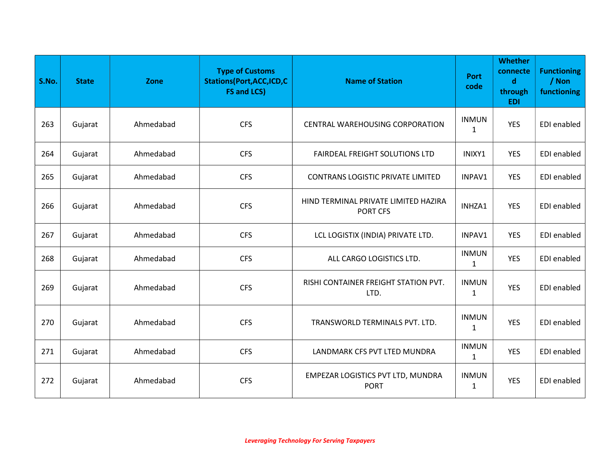| S.No. | <b>State</b> | Zone      | <b>Type of Customs</b><br><b>Stations(Port,ACC,ICD,C</b><br><b>FS and LCS)</b> | <b>Name of Station</b>                           | <b>Port</b><br>code          | <b>Whether</b><br>connecte<br>$\mathbf d$<br>through<br><b>EDI</b> | <b>Functioning</b><br>/ Non<br>functioning |
|-------|--------------|-----------|--------------------------------------------------------------------------------|--------------------------------------------------|------------------------------|--------------------------------------------------------------------|--------------------------------------------|
| 263   | Gujarat      | Ahmedabad | <b>CFS</b>                                                                     | CENTRAL WAREHOUSING CORPORATION                  | <b>INMUN</b><br>$\mathbf{1}$ | <b>YES</b>                                                         | EDI enabled                                |
| 264   | Gujarat      | Ahmedabad | <b>CFS</b>                                                                     | FAIRDEAL FREIGHT SOLUTIONS LTD                   | INIXY1                       | <b>YES</b>                                                         | EDI enabled                                |
| 265   | Gujarat      | Ahmedabad | <b>CFS</b>                                                                     | <b>CONTRANS LOGISTIC PRIVATE LIMITED</b>         | INPAV1                       | <b>YES</b>                                                         | EDI enabled                                |
| 266   | Gujarat      | Ahmedabad | <b>CFS</b>                                                                     | HIND TERMINAL PRIVATE LIMITED HAZIRA<br>PORT CFS | INHZA1                       | <b>YES</b>                                                         | <b>EDI</b> enabled                         |
| 267   | Gujarat      | Ahmedabad | <b>CFS</b>                                                                     | LCL LOGISTIX (INDIA) PRIVATE LTD.                | INPAV1                       | <b>YES</b>                                                         | EDI enabled                                |
| 268   | Gujarat      | Ahmedabad | <b>CFS</b>                                                                     | ALL CARGO LOGISTICS LTD.                         | <b>INMUN</b><br>$\mathbf{1}$ | <b>YES</b>                                                         | EDI enabled                                |
| 269   | Gujarat      | Ahmedabad | <b>CFS</b>                                                                     | RISHI CONTAINER FREIGHT STATION PVT.<br>LTD.     | <b>INMUN</b><br>$\mathbf{1}$ | <b>YES</b>                                                         | EDI enabled                                |
| 270   | Gujarat      | Ahmedabad | <b>CFS</b>                                                                     | TRANSWORLD TERMINALS PVT. LTD.                   | <b>INMUN</b><br>$\mathbf{1}$ | <b>YES</b>                                                         | <b>EDI</b> enabled                         |
| 271   | Gujarat      | Ahmedabad | <b>CFS</b>                                                                     | LANDMARK CFS PVT LTED MUNDRA                     | <b>INMUN</b><br>$\mathbf 1$  | <b>YES</b>                                                         | EDI enabled                                |
| 272   | Gujarat      | Ahmedabad | <b>CFS</b>                                                                     | EMPEZAR LOGISTICS PVT LTD, MUNDRA<br><b>PORT</b> | <b>INMUN</b><br>$\mathbf{1}$ | <b>YES</b>                                                         | EDI enabled                                |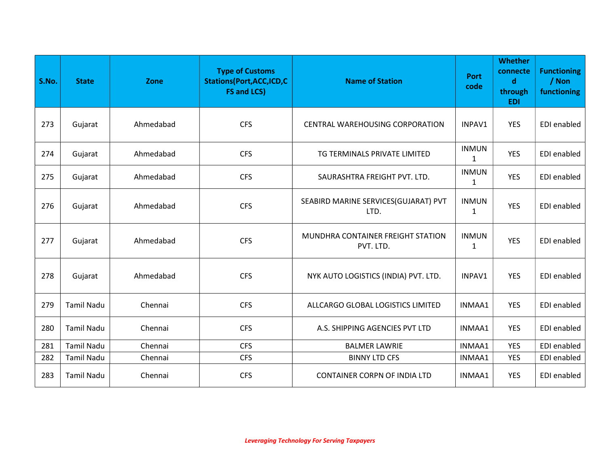| S.No. | <b>State</b>      | Zone      | <b>Type of Customs</b><br><b>Stations(Port, ACC, ICD, C</b><br><b>FS and LCS)</b> | <b>Name of Station</b>                         | <b>Port</b><br>code | <b>Whether</b><br>connecte<br>$\mathbf d$<br>through<br><b>EDI</b> | <b>Functioning</b><br>/ Non<br>functioning |
|-------|-------------------|-----------|-----------------------------------------------------------------------------------|------------------------------------------------|---------------------|--------------------------------------------------------------------|--------------------------------------------|
| 273   | Gujarat           | Ahmedabad | <b>CFS</b>                                                                        | <b>CENTRAL WAREHOUSING CORPORATION</b>         | INPAV1              | <b>YES</b>                                                         | EDI enabled                                |
| 274   | Gujarat           | Ahmedabad | <b>CFS</b>                                                                        | TG TERMINALS PRIVATE LIMITED                   | <b>INMUN</b><br>1   | <b>YES</b>                                                         | EDI enabled                                |
| 275   | Gujarat           | Ahmedabad | <b>CFS</b>                                                                        | SAURASHTRA FREIGHT PVT. LTD.                   | <b>INMUN</b><br>1   | <b>YES</b>                                                         | EDI enabled                                |
| 276   | Gujarat           | Ahmedabad | <b>CFS</b>                                                                        | SEABIRD MARINE SERVICES(GUJARAT) PVT<br>LTD.   | <b>INMUN</b><br>1   | <b>YES</b>                                                         | EDI enabled                                |
| 277   | Gujarat           | Ahmedabad | <b>CFS</b>                                                                        | MUNDHRA CONTAINER FREIGHT STATION<br>PVT. LTD. | <b>INMUN</b><br>1   | <b>YES</b>                                                         | EDI enabled                                |
| 278   | Gujarat           | Ahmedabad | <b>CFS</b>                                                                        | NYK AUTO LOGISTICS (INDIA) PVT. LTD.           | INPAV1              | <b>YES</b>                                                         | EDI enabled                                |
| 279   | <b>Tamil Nadu</b> | Chennai   | <b>CFS</b>                                                                        | ALLCARGO GLOBAL LOGISTICS LIMITED              | INMAA1              | <b>YES</b>                                                         | EDI enabled                                |
| 280   | <b>Tamil Nadu</b> | Chennai   | <b>CFS</b>                                                                        | A.S. SHIPPING AGENCIES PVT LTD                 | INMAA1              | <b>YES</b>                                                         | EDI enabled                                |
| 281   | <b>Tamil Nadu</b> | Chennai   | <b>CFS</b>                                                                        | <b>BALMER LAWRIE</b>                           | INMAA1              | <b>YES</b>                                                         | <b>EDI</b> enabled                         |
| 282   | <b>Tamil Nadu</b> | Chennai   | <b>CFS</b>                                                                        | <b>BINNY LTD CFS</b>                           | INMAA1              | <b>YES</b>                                                         | <b>EDI</b> enabled                         |
| 283   | <b>Tamil Nadu</b> | Chennai   | <b>CFS</b>                                                                        | <b>CONTAINER CORPN OF INDIA LTD</b>            | INMAA1              | <b>YES</b>                                                         | EDI enabled                                |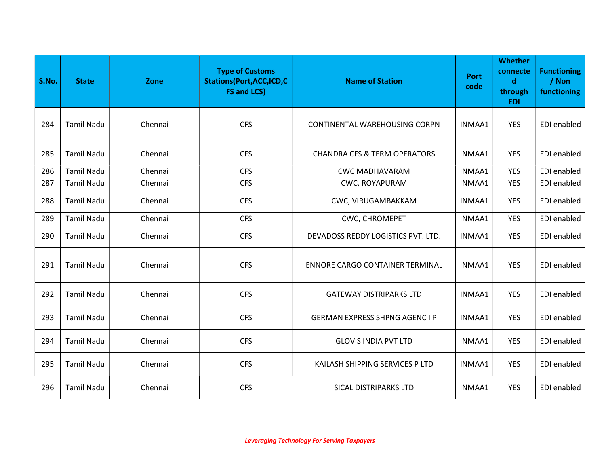| S.No. | <b>State</b>      | Zone    | <b>Type of Customs</b><br><b>Stations(Port, ACC, ICD, C</b><br><b>FS and LCS)</b> | <b>Name of Station</b>                  | <b>Port</b><br>code | <b>Whether</b><br>connecte<br>$\mathbf d$<br>through<br><b>EDI</b> | <b>Functioning</b><br>/ Non<br>functioning |
|-------|-------------------|---------|-----------------------------------------------------------------------------------|-----------------------------------------|---------------------|--------------------------------------------------------------------|--------------------------------------------|
| 284   | <b>Tamil Nadu</b> | Chennai | <b>CFS</b>                                                                        | CONTINENTAL WAREHOUSING CORPN           | INMAA1              | <b>YES</b>                                                         | EDI enabled                                |
| 285   | <b>Tamil Nadu</b> | Chennai | <b>CFS</b>                                                                        | <b>CHANDRA CFS &amp; TERM OPERATORS</b> | INMAA1              | <b>YES</b>                                                         | EDI enabled                                |
| 286   | <b>Tamil Nadu</b> | Chennai | <b>CFS</b>                                                                        | <b>CWC MADHAVARAM</b>                   | INMAA1              | <b>YES</b>                                                         | EDI enabled                                |
| 287   | <b>Tamil Nadu</b> | Chennai | <b>CFS</b>                                                                        | CWC, ROYAPURAM                          | INMAA1              | <b>YES</b>                                                         | EDI enabled                                |
| 288   | <b>Tamil Nadu</b> | Chennai | <b>CFS</b>                                                                        | CWC, VIRUGAMBAKKAM                      | INMAA1              | <b>YES</b>                                                         | EDI enabled                                |
| 289   | <b>Tamil Nadu</b> | Chennai | <b>CFS</b>                                                                        | CWC, CHROMEPET                          | INMAA1              | <b>YES</b>                                                         | EDI enabled                                |
| 290   | <b>Tamil Nadu</b> | Chennai | <b>CFS</b>                                                                        | DEVADOSS REDDY LOGISTICS PVT. LTD.      | INMAA1              | <b>YES</b>                                                         | EDI enabled                                |
| 291   | <b>Tamil Nadu</b> | Chennai | <b>CFS</b>                                                                        | ENNORE CARGO CONTAINER TERMINAL         | INMAA1              | YES                                                                | EDI enabled                                |
| 292   | <b>Tamil Nadu</b> | Chennai | <b>CFS</b>                                                                        | <b>GATEWAY DISTRIPARKS LTD</b>          | INMAA1              | <b>YES</b>                                                         | EDI enabled                                |
| 293   | <b>Tamil Nadu</b> | Chennai | <b>CFS</b>                                                                        | <b>GERMAN EXPRESS SHPNG AGENC I P</b>   | INMAA1              | <b>YES</b>                                                         | <b>EDI</b> enabled                         |
| 294   | <b>Tamil Nadu</b> | Chennai | <b>CFS</b>                                                                        | <b>GLOVIS INDIA PVT LTD</b>             | INMAA1              | <b>YES</b>                                                         | EDI enabled                                |
| 295   | <b>Tamil Nadu</b> | Chennai | <b>CFS</b>                                                                        | KAILASH SHIPPING SERVICES P LTD         | INMAA1              | YES                                                                | EDI enabled                                |
| 296   | <b>Tamil Nadu</b> | Chennai | <b>CFS</b>                                                                        | <b>SICAL DISTRIPARKS LTD</b>            | INMAA1              | <b>YES</b>                                                         | EDI enabled                                |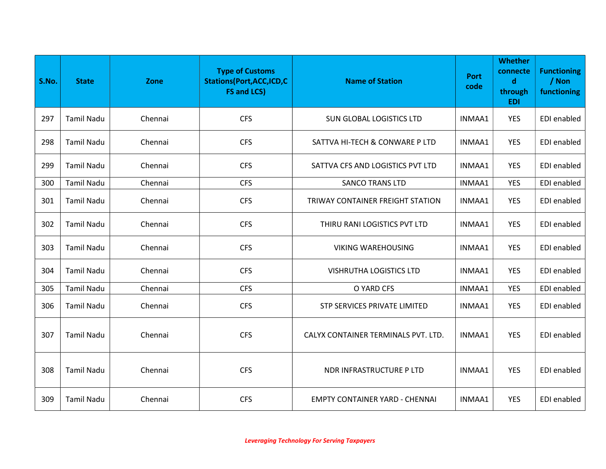| S.No. | <b>State</b>      | Zone    | <b>Type of Customs</b><br><b>Stations(Port, ACC, ICD, C</b><br><b>FS and LCS)</b> | <b>Name of Station</b>                | <b>Port</b><br>code | <b>Whether</b><br>connecte<br>$\mathbf d$<br>through<br><b>EDI</b> | <b>Functioning</b><br>/ Non<br>functioning |
|-------|-------------------|---------|-----------------------------------------------------------------------------------|---------------------------------------|---------------------|--------------------------------------------------------------------|--------------------------------------------|
| 297   | <b>Tamil Nadu</b> | Chennai | <b>CFS</b>                                                                        | <b>SUN GLOBAL LOGISTICS LTD</b>       | INMAA1              | <b>YES</b>                                                         | EDI enabled                                |
| 298   | <b>Tamil Nadu</b> | Chennai | <b>CFS</b>                                                                        | SATTVA HI-TECH & CONWARE P LTD        | INMAA1              | <b>YES</b>                                                         | EDI enabled                                |
| 299   | <b>Tamil Nadu</b> | Chennai | <b>CFS</b>                                                                        | SATTVA CFS AND LOGISTICS PVT LTD      | INMAA1              | YES                                                                | EDI enabled                                |
| 300   | <b>Tamil Nadu</b> | Chennai | <b>CFS</b>                                                                        | <b>SANCO TRANS LTD</b>                | INMAA1              | <b>YES</b>                                                         | EDI enabled                                |
| 301   | <b>Tamil Nadu</b> | Chennai | <b>CFS</b>                                                                        | TRIWAY CONTAINER FREIGHT STATION      | INMAA1              | <b>YES</b>                                                         | EDI enabled                                |
| 302   | <b>Tamil Nadu</b> | Chennai | <b>CFS</b>                                                                        | THIRU RANI LOGISTICS PVT LTD          | INMAA1              | <b>YES</b>                                                         | EDI enabled                                |
| 303   | <b>Tamil Nadu</b> | Chennai | <b>CFS</b>                                                                        | <b>VIKING WAREHOUSING</b>             | INMAA1              | <b>YES</b>                                                         | EDI enabled                                |
| 304   | <b>Tamil Nadu</b> | Chennai | <b>CFS</b>                                                                        | <b>VISHRUTHA LOGISTICS LTD</b>        | INMAA1              | <b>YES</b>                                                         | EDI enabled                                |
| 305   | <b>Tamil Nadu</b> | Chennai | <b>CFS</b>                                                                        | O YARD CFS                            | INMAA1              | <b>YES</b>                                                         | <b>EDI</b> enabled                         |
| 306   | <b>Tamil Nadu</b> | Chennai | <b>CFS</b>                                                                        | STP SERVICES PRIVATE LIMITED          | INMAA1              | <b>YES</b>                                                         | EDI enabled                                |
| 307   | <b>Tamil Nadu</b> | Chennai | <b>CFS</b>                                                                        | CALYX CONTAINER TERMINALS PVT. LTD.   | INMAA1              | <b>YES</b>                                                         | EDI enabled                                |
| 308   | <b>Tamil Nadu</b> | Chennai | <b>CFS</b>                                                                        | NDR INFRASTRUCTURE P LTD              | INMAA1              | <b>YES</b>                                                         | EDI enabled                                |
| 309   | <b>Tamil Nadu</b> | Chennai | <b>CFS</b>                                                                        | <b>EMPTY CONTAINER YARD - CHENNAI</b> | INMAA1              | <b>YES</b>                                                         | EDI enabled                                |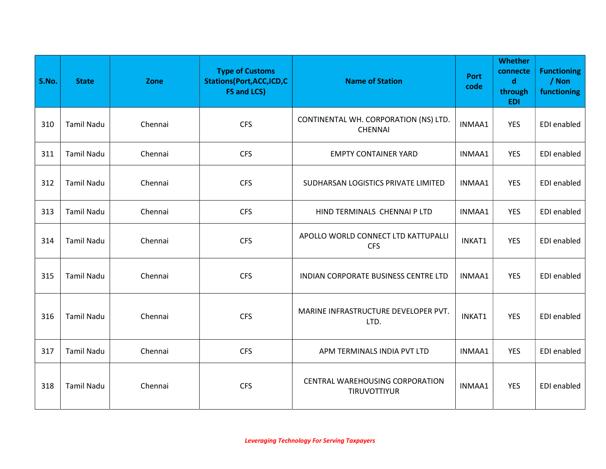| S.No. | <b>State</b>      | Zone    | <b>Type of Customs</b><br><b>Stations(Port, ACC, ICD, C</b><br><b>FS and LCS)</b> | <b>Name of Station</b>                                  | <b>Port</b><br>code | <b>Whether</b><br>connecte<br>$\mathbf d$<br>through<br><b>EDI</b> | <b>Functioning</b><br>/ Non<br>functioning |
|-------|-------------------|---------|-----------------------------------------------------------------------------------|---------------------------------------------------------|---------------------|--------------------------------------------------------------------|--------------------------------------------|
| 310   | <b>Tamil Nadu</b> | Chennai | <b>CFS</b>                                                                        | CONTINENTAL WH. CORPORATION (NS) LTD.<br><b>CHENNAI</b> | INMAA1              | <b>YES</b>                                                         | EDI enabled                                |
| 311   | <b>Tamil Nadu</b> | Chennai | <b>CFS</b>                                                                        | <b>EMPTY CONTAINER YARD</b>                             | INMAA1              | <b>YES</b>                                                         | EDI enabled                                |
| 312   | <b>Tamil Nadu</b> | Chennai | <b>CFS</b>                                                                        | SUDHARSAN LOGISTICS PRIVATE LIMITED                     | INMAA1              | <b>YES</b>                                                         | EDI enabled                                |
| 313   | <b>Tamil Nadu</b> | Chennai | <b>CFS</b>                                                                        | HIND TERMINALS CHENNAI P LTD                            | INMAA1              | <b>YES</b>                                                         | EDI enabled                                |
| 314   | <b>Tamil Nadu</b> | Chennai | <b>CFS</b>                                                                        | APOLLO WORLD CONNECT LTD KATTUPALLI<br><b>CFS</b>       | INKAT1              | <b>YES</b>                                                         | EDI enabled                                |
| 315   | <b>Tamil Nadu</b> | Chennai | <b>CFS</b>                                                                        | INDIAN CORPORATE BUSINESS CENTRE LTD                    | INMAA1              | <b>YES</b>                                                         | EDI enabled                                |
| 316   | <b>Tamil Nadu</b> | Chennai | <b>CFS</b>                                                                        | MARINE INFRASTRUCTURE DEVELOPER PVT.<br>LTD.            | INKAT1              | <b>YES</b>                                                         | EDI enabled                                |
| 317   | <b>Tamil Nadu</b> | Chennai | <b>CFS</b>                                                                        | APM TERMINALS INDIA PVT LTD                             | INMAA1              | <b>YES</b>                                                         | EDI enabled                                |
| 318   | <b>Tamil Nadu</b> | Chennai | <b>CFS</b>                                                                        | CENTRAL WAREHOUSING CORPORATION<br>TIRUVOTTIYUR         | INMAA1              | <b>YES</b>                                                         | EDI enabled                                |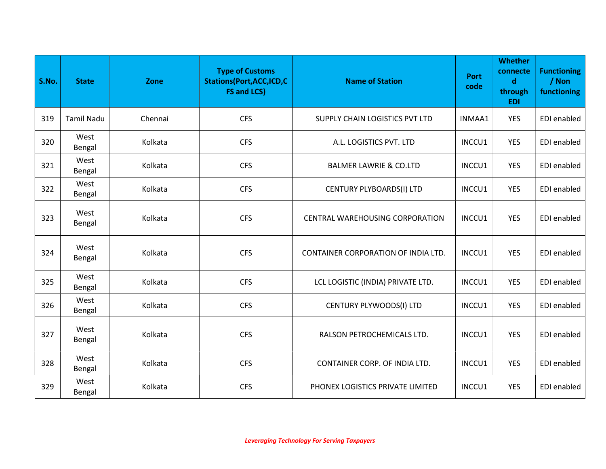| S.No. | <b>State</b>      | Zone    | <b>Type of Customs</b><br><b>Stations(Port, ACC, ICD, C</b><br><b>FS and LCS)</b> | <b>Name of Station</b>                 | <b>Port</b><br>code | <b>Whether</b><br>connecte<br>$\mathbf d$<br>through<br><b>EDI</b> | <b>Functioning</b><br>/ Non<br>functioning |
|-------|-------------------|---------|-----------------------------------------------------------------------------------|----------------------------------------|---------------------|--------------------------------------------------------------------|--------------------------------------------|
| 319   | <b>Tamil Nadu</b> | Chennai | <b>CFS</b>                                                                        | SUPPLY CHAIN LOGISTICS PVT LTD         | INMAA1              | <b>YES</b>                                                         | EDI enabled                                |
| 320   | West<br>Bengal    | Kolkata | <b>CFS</b>                                                                        | A.L. LOGISTICS PVT. LTD                | INCCU1              | <b>YES</b>                                                         | EDI enabled                                |
| 321   | West<br>Bengal    | Kolkata | <b>CFS</b>                                                                        | <b>BALMER LAWRIE &amp; CO.LTD</b>      | INCCU1              | <b>YES</b>                                                         | EDI enabled                                |
| 322   | West<br>Bengal    | Kolkata | <b>CFS</b>                                                                        | CENTURY PLYBOARDS(I) LTD               | INCCU1              | <b>YES</b>                                                         | EDI enabled                                |
| 323   | West<br>Bengal    | Kolkata | <b>CFS</b>                                                                        | <b>CENTRAL WAREHOUSING CORPORATION</b> | INCCU1              | <b>YES</b>                                                         | EDI enabled                                |
| 324   | West<br>Bengal    | Kolkata | <b>CFS</b>                                                                        | CONTAINER CORPORATION OF INDIA LTD.    | INCCU1              | <b>YES</b>                                                         | EDI enabled                                |
| 325   | West<br>Bengal    | Kolkata | <b>CFS</b>                                                                        | LCL LOGISTIC (INDIA) PRIVATE LTD.      | INCCU1              | <b>YES</b>                                                         | EDI enabled                                |
| 326   | West<br>Bengal    | Kolkata | <b>CFS</b>                                                                        | CENTURY PLYWOODS(I) LTD                | INCCU1              | <b>YES</b>                                                         | EDI enabled                                |
| 327   | West<br>Bengal    | Kolkata | <b>CFS</b>                                                                        | RALSON PETROCHEMICALS LTD.             | INCCU1              | <b>YES</b>                                                         | EDI enabled                                |
| 328   | West<br>Bengal    | Kolkata | <b>CFS</b>                                                                        | CONTAINER CORP. OF INDIA LTD.          | INCCU1              | <b>YES</b>                                                         | <b>EDI</b> enabled                         |
| 329   | West<br>Bengal    | Kolkata | <b>CFS</b>                                                                        | PHONEX LOGISTICS PRIVATE LIMITED       | INCCU1              | <b>YES</b>                                                         | EDI enabled                                |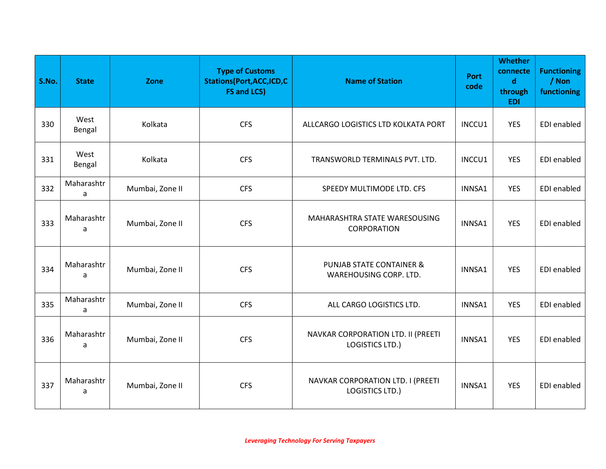| S.No. | <b>State</b>    | Zone            | <b>Type of Customs</b><br><b>Stations(Port,ACC,ICD,C</b><br><b>FS and LCS)</b> | <b>Name of Station</b>                                        | <b>Port</b><br>code | <b>Whether</b><br>connecte<br>$\mathbf d$<br>through<br><b>EDI</b> | <b>Functioning</b><br>/ Non<br>functioning |
|-------|-----------------|-----------------|--------------------------------------------------------------------------------|---------------------------------------------------------------|---------------------|--------------------------------------------------------------------|--------------------------------------------|
| 330   | West<br>Bengal  | Kolkata         | <b>CFS</b>                                                                     | ALLCARGO LOGISTICS LTD KOLKATA PORT                           | INCCU1              | <b>YES</b>                                                         | <b>EDI</b> enabled                         |
| 331   | West<br>Bengal  | Kolkata         | <b>CFS</b>                                                                     | TRANSWORLD TERMINALS PVT. LTD.                                | INCCU1              | <b>YES</b>                                                         | EDI enabled                                |
| 332   | Maharashtr<br>a | Mumbai, Zone II | <b>CFS</b>                                                                     | SPEEDY MULTIMODE LTD. CFS                                     | INNSA1              | <b>YES</b>                                                         | <b>EDI</b> enabled                         |
| 333   | Maharashtr<br>a | Mumbai, Zone II | <b>CFS</b>                                                                     | MAHARASHTRA STATE WARESOUSING<br>CORPORATION                  | INNSA1              | <b>YES</b>                                                         | EDI enabled                                |
| 334   | Maharashtr<br>a | Mumbai, Zone II | <b>CFS</b>                                                                     | <b>PUNJAB STATE CONTAINER &amp;</b><br>WAREHOUSING CORP. LTD. | INNSA1              | <b>YES</b>                                                         | EDI enabled                                |
| 335   | Maharashtr<br>a | Mumbai, Zone II | <b>CFS</b>                                                                     | ALL CARGO LOGISTICS LTD.                                      | INNSA1              | <b>YES</b>                                                         | EDI enabled                                |
| 336   | Maharashtr<br>a | Mumbai, Zone II | <b>CFS</b>                                                                     | NAVKAR CORPORATION LTD. II (PREETI<br><b>LOGISTICS LTD.)</b>  | INNSA1              | <b>YES</b>                                                         | EDI enabled                                |
| 337   | Maharashtr<br>a | Mumbai, Zone II | <b>CFS</b>                                                                     | NAVKAR CORPORATION LTD. I (PREETI<br><b>LOGISTICS LTD.)</b>   | INNSA1              | <b>YES</b>                                                         | EDI enabled                                |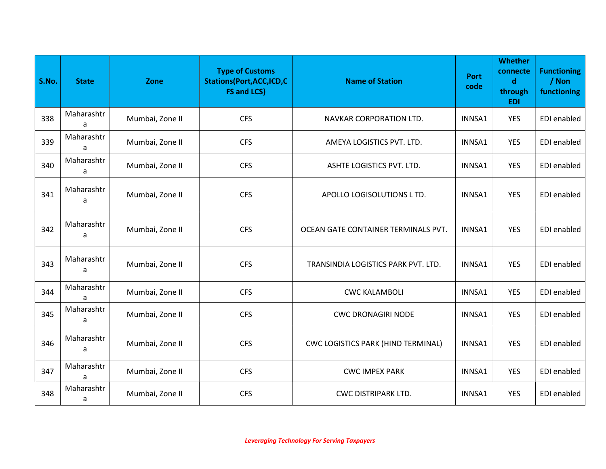| S.No. | <b>State</b>    | Zone            | <b>Type of Customs</b><br><b>Stations(Port, ACC, ICD, C</b><br><b>FS and LCS)</b> | <b>Name of Station</b>              | <b>Port</b><br>code | <b>Whether</b><br>connecte<br>$\mathbf d$<br>through<br><b>EDI</b> | <b>Functioning</b><br>/ Non<br>functioning |
|-------|-----------------|-----------------|-----------------------------------------------------------------------------------|-------------------------------------|---------------------|--------------------------------------------------------------------|--------------------------------------------|
| 338   | Maharashtr<br>a | Mumbai, Zone II | <b>CFS</b>                                                                        | NAVKAR CORPORATION LTD.             | INNSA1              | <b>YES</b>                                                         | EDI enabled                                |
| 339   | Maharashtr<br>a | Mumbai, Zone II | <b>CFS</b>                                                                        | AMEYA LOGISTICS PVT. LTD.           | INNSA1              | <b>YES</b>                                                         | EDI enabled                                |
| 340   | Maharashtr<br>a | Mumbai, Zone II | <b>CFS</b>                                                                        | ASHTE LOGISTICS PVT. LTD.           | INNSA1              | <b>YES</b>                                                         | EDI enabled                                |
| 341   | Maharashtr<br>a | Mumbai, Zone II | <b>CFS</b>                                                                        | APOLLO LOGISOLUTIONS L TD.          | INNSA1              | <b>YES</b>                                                         | EDI enabled                                |
| 342   | Maharashtr<br>a | Mumbai, Zone II | <b>CFS</b>                                                                        | OCEAN GATE CONTAINER TERMINALS PVT. | INNSA1              | <b>YES</b>                                                         | EDI enabled                                |
| 343   | Maharashtr<br>a | Mumbai, Zone II | <b>CFS</b>                                                                        | TRANSINDIA LOGISTICS PARK PVT. LTD. | INNSA1              | <b>YES</b>                                                         | EDI enabled                                |
| 344   | Maharashtr<br>a | Mumbai, Zone II | <b>CFS</b>                                                                        | <b>CWC KALAMBOLI</b>                | INNSA1              | <b>YES</b>                                                         | EDI enabled                                |
| 345   | Maharashtr<br>a | Mumbai, Zone II | <b>CFS</b>                                                                        | <b>CWC DRONAGIRI NODE</b>           | INNSA1              | <b>YES</b>                                                         | EDI enabled                                |
| 346   | Maharashtr<br>a | Mumbai, Zone II | <b>CFS</b>                                                                        | CWC LOGISTICS PARK (HIND TERMINAL)  | INNSA1              | <b>YES</b>                                                         | EDI enabled                                |
| 347   | Maharashtr<br>a | Mumbai, Zone II | <b>CFS</b>                                                                        | <b>CWC IMPEX PARK</b>               | INNSA1              | <b>YES</b>                                                         | <b>EDI</b> enabled                         |
| 348   | Maharashtr<br>a | Mumbai, Zone II | <b>CFS</b>                                                                        | <b>CWC DISTRIPARK LTD.</b>          | INNSA1              | <b>YES</b>                                                         | EDI enabled                                |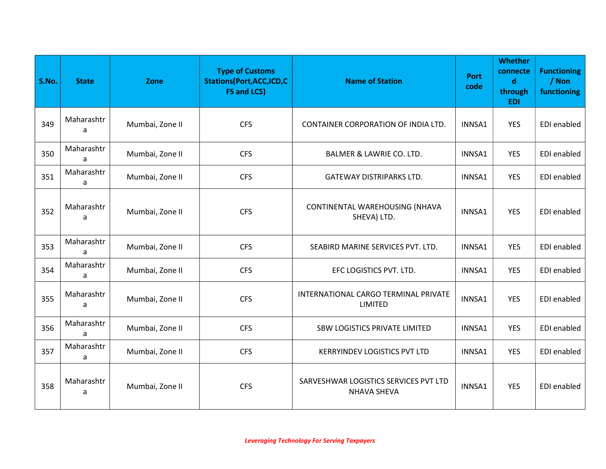| S.No. | <b>State</b>    | Zone            | <b>Type of Customs</b><br><b>Stations(Port, ACC, ICD, C</b><br><b>FS and LCS)</b> | <b>Name of Station</b>                                      | <b>Port</b><br>code | <b>Whether</b><br>connecte<br>$\mathbf d$<br>through<br><b>EDI</b> | <b>Functioning</b><br>/ Non<br>functioning |
|-------|-----------------|-----------------|-----------------------------------------------------------------------------------|-------------------------------------------------------------|---------------------|--------------------------------------------------------------------|--------------------------------------------|
| 349   | Maharashtr<br>a | Mumbai, Zone II | <b>CFS</b>                                                                        | CONTAINER CORPORATION OF INDIA LTD.                         | INNSA1              | <b>YES</b>                                                         | EDI enabled                                |
| 350   | Maharashtr<br>a | Mumbai, Zone II | <b>CFS</b>                                                                        | BALMER & LAWRIE CO. LTD.                                    | INNSA1              | <b>YES</b>                                                         | EDI enabled                                |
| 351   | Maharashtr<br>a | Mumbai, Zone II | <b>CFS</b>                                                                        | <b>GATEWAY DISTRIPARKS LTD.</b>                             | INNSA1              | <b>YES</b>                                                         | EDI enabled                                |
| 352   | Maharashtr<br>a | Mumbai, Zone II | <b>CFS</b>                                                                        | CONTINENTAL WAREHOUSING (NHAVA<br>SHEVA) LTD.               | INNSA1              | <b>YES</b>                                                         | EDI enabled                                |
| 353   | Maharashtr<br>a | Mumbai, Zone II | <b>CFS</b>                                                                        | SEABIRD MARINE SERVICES PVT. LTD.                           | INNSA1              | <b>YES</b>                                                         | EDI enabled                                |
| 354   | Maharashtr<br>a | Mumbai, Zone II | <b>CFS</b>                                                                        | EFC LOGISTICS PVT. LTD.                                     | INNSA1              | <b>YES</b>                                                         | EDI enabled                                |
| 355   | Maharashtr<br>a | Mumbai, Zone II | <b>CFS</b>                                                                        | INTERNATIONAL CARGO TERMINAL PRIVATE<br><b>LIMITED</b>      | INNSA1              | <b>YES</b>                                                         | EDI enabled                                |
| 356   | Maharashtr<br>a | Mumbai, Zone II | <b>CFS</b>                                                                        | SBW LOGISTICS PRIVATE LIMITED                               | INNSA1              | <b>YES</b>                                                         | EDI enabled                                |
| 357   | Maharashtr<br>a | Mumbai, Zone II | <b>CFS</b>                                                                        | <b>KERRYINDEV LOGISTICS PVT LTD</b>                         | INNSA1              | <b>YES</b>                                                         | EDI enabled                                |
| 358   | Maharashtr<br>a | Mumbai, Zone II | <b>CFS</b>                                                                        | SARVESHWAR LOGISTICS SERVICES PVT LTD<br><b>NHAVA SHEVA</b> | INNSA1              | <b>YES</b>                                                         | EDI enabled                                |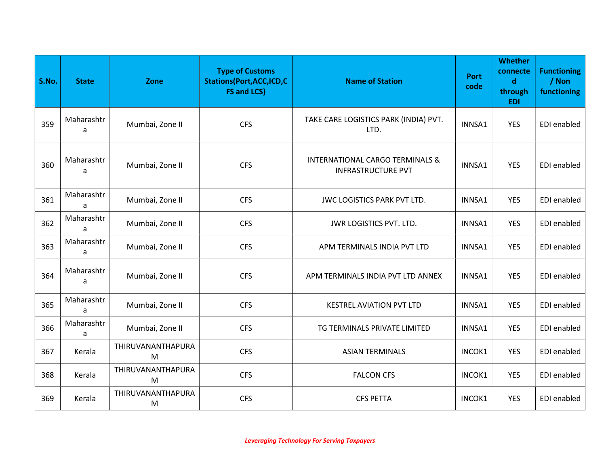| S.No. | <b>State</b>    | Zone                   | <b>Type of Customs</b><br><b>Stations(Port,ACC,ICD,C</b><br><b>FS and LCS)</b> | <b>Name of Station</b>                                                  | <b>Port</b><br>code | <b>Whether</b><br>connecte<br>$\mathbf d$<br>through<br><b>EDI</b> | <b>Functioning</b><br>/ Non<br>functioning |
|-------|-----------------|------------------------|--------------------------------------------------------------------------------|-------------------------------------------------------------------------|---------------------|--------------------------------------------------------------------|--------------------------------------------|
| 359   | Maharashtr<br>a | Mumbai, Zone II        | <b>CFS</b>                                                                     | TAKE CARE LOGISTICS PARK (INDIA) PVT.<br>LTD.                           | INNSA1              | <b>YES</b>                                                         | EDI enabled                                |
| 360   | Maharashtr<br>a | Mumbai, Zone II        | <b>CFS</b>                                                                     | <b>INTERNATIONAL CARGO TERMINALS &amp;</b><br><b>INFRASTRUCTURE PVT</b> | INNSA1              | <b>YES</b>                                                         | EDI enabled                                |
| 361   | Maharashtr<br>a | Mumbai, Zone II        | <b>CFS</b>                                                                     | JWC LOGISTICS PARK PVT LTD.                                             | INNSA1              | <b>YES</b>                                                         | EDI enabled                                |
| 362   | Maharashtr<br>a | Mumbai, Zone II        | <b>CFS</b>                                                                     | JWR LOGISTICS PVT. LTD.                                                 | INNSA1              | <b>YES</b>                                                         | EDI enabled                                |
| 363   | Maharashtr<br>a | Mumbai, Zone II        | <b>CFS</b>                                                                     | APM TERMINALS INDIA PVT LTD                                             | INNSA1              | <b>YES</b>                                                         | EDI enabled                                |
| 364   | Maharashtr<br>a | Mumbai, Zone II        | <b>CFS</b>                                                                     | APM TERMINALS INDIA PVT LTD ANNEX                                       | INNSA1              | <b>YES</b>                                                         | EDI enabled                                |
| 365   | Maharashtr<br>a | Mumbai, Zone II        | <b>CFS</b>                                                                     | <b>KESTREL AVIATION PVT LTD</b>                                         | INNSA1              | <b>YES</b>                                                         | EDI enabled                                |
| 366   | Maharashtr<br>a | Mumbai, Zone II        | <b>CFS</b>                                                                     | TG TERMINALS PRIVATE LIMITED                                            | INNSA1              | <b>YES</b>                                                         | EDI enabled                                |
| 367   | Kerala          | THIRUVANANTHAPURA<br>M | <b>CFS</b>                                                                     | <b>ASIAN TERMINALS</b>                                                  | INCOK1              | <b>YES</b>                                                         | EDI enabled                                |
| 368   | Kerala          | THIRUVANANTHAPURA<br>M | <b>CFS</b>                                                                     | <b>FALCON CFS</b>                                                       | INCOK1              | <b>YES</b>                                                         | EDI enabled                                |
| 369   | Kerala          | THIRUVANANTHAPURA<br>M | <b>CFS</b>                                                                     | <b>CFS PETTA</b>                                                        | INCOK1              | <b>YES</b>                                                         | EDI enabled                                |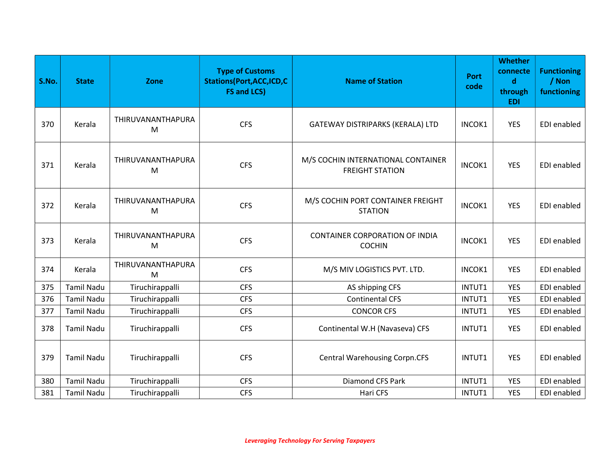| S.No. | <b>State</b>      | Zone                   | <b>Type of Customs</b><br><b>Stations(Port, ACC, ICD, C</b><br><b>FS and LCS)</b> | <b>Name of Station</b>                                       | <b>Port</b><br>code | <b>Whether</b><br>connecte<br>$\mathbf d$<br>through<br><b>EDI</b> | <b>Functioning</b><br>/ Non<br>functioning |
|-------|-------------------|------------------------|-----------------------------------------------------------------------------------|--------------------------------------------------------------|---------------------|--------------------------------------------------------------------|--------------------------------------------|
| 370   | Kerala            | THIRUVANANTHAPURA<br>M | <b>CFS</b>                                                                        | GATEWAY DISTRIPARKS (KERALA) LTD                             | INCOK1              | <b>YES</b>                                                         | EDI enabled                                |
| 371   | Kerala            | THIRUVANANTHAPURA<br>M | <b>CFS</b>                                                                        | M/S COCHIN INTERNATIONAL CONTAINER<br><b>FREIGHT STATION</b> | INCOK1              | <b>YES</b>                                                         | EDI enabled                                |
| 372   | Kerala            | THIRUVANANTHAPURA<br>M | <b>CFS</b>                                                                        | M/S COCHIN PORT CONTAINER FREIGHT<br><b>STATION</b>          | INCOK1              | <b>YES</b>                                                         | EDI enabled                                |
| 373   | Kerala            | THIRUVANANTHAPURA<br>M | <b>CFS</b>                                                                        | <b>CONTAINER CORPORATION OF INDIA</b><br><b>COCHIN</b>       | INCOK1              | <b>YES</b>                                                         | EDI enabled                                |
| 374   | Kerala            | THIRUVANANTHAPURA<br>M | <b>CFS</b>                                                                        | M/S MIV LOGISTICS PVT. LTD.                                  | INCOK1              | <b>YES</b>                                                         | EDI enabled                                |
| 375   | <b>Tamil Nadu</b> | Tiruchirappalli        | <b>CFS</b>                                                                        | AS shipping CFS                                              | INTUT1              | <b>YES</b>                                                         | EDI enabled                                |
| 376   | <b>Tamil Nadu</b> | Tiruchirappalli        | <b>CFS</b>                                                                        | <b>Continental CFS</b>                                       | INTUT1              | <b>YES</b>                                                         | EDI enabled                                |
| 377   | <b>Tamil Nadu</b> | Tiruchirappalli        | <b>CFS</b>                                                                        | <b>CONCOR CFS</b>                                            | INTUT1              | <b>YES</b>                                                         | EDI enabled                                |
| 378   | <b>Tamil Nadu</b> | Tiruchirappalli        | <b>CFS</b>                                                                        | Continental W.H (Navaseva) CFS                               | INTUT1              | <b>YES</b>                                                         | <b>EDI</b> enabled                         |
| 379   | <b>Tamil Nadu</b> | Tiruchirappalli        | <b>CFS</b>                                                                        | <b>Central Warehousing Corpn.CFS</b>                         | INTUT1              | <b>YES</b>                                                         | EDI enabled                                |
| 380   | <b>Tamil Nadu</b> | Tiruchirappalli        | <b>CFS</b>                                                                        | Diamond CFS Park                                             | INTUT1              | <b>YES</b>                                                         | EDI enabled                                |
| 381   | <b>Tamil Nadu</b> | Tiruchirappalli        | <b>CFS</b>                                                                        | Hari CFS                                                     | INTUT1              | <b>YES</b>                                                         | EDI enabled                                |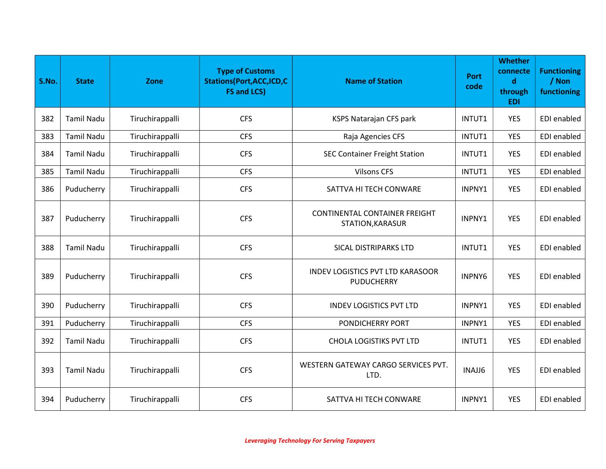| S.No. | <b>State</b>      | Zone            | <b>Type of Customs</b><br><b>Stations(Port, ACC, ICD, C</b><br><b>FS and LCS)</b> | <b>Name of Station</b>                                       | <b>Port</b><br>code | <b>Whether</b><br>connecte<br>$\mathbf d$<br>through<br><b>EDI</b> | <b>Functioning</b><br>/ Non<br>functioning |
|-------|-------------------|-----------------|-----------------------------------------------------------------------------------|--------------------------------------------------------------|---------------------|--------------------------------------------------------------------|--------------------------------------------|
| 382   | <b>Tamil Nadu</b> | Tiruchirappalli | <b>CFS</b>                                                                        | KSPS Natarajan CFS park                                      | INTUT1              | <b>YES</b>                                                         | EDI enabled                                |
| 383   | <b>Tamil Nadu</b> | Tiruchirappalli | <b>CFS</b>                                                                        | Raja Agencies CFS                                            | INTUT1              | <b>YES</b>                                                         | EDI enabled                                |
| 384   | <b>Tamil Nadu</b> | Tiruchirappalli | <b>CFS</b>                                                                        | <b>SEC Container Freight Station</b>                         | INTUT1              | <b>YES</b>                                                         | EDI enabled                                |
| 385   | <b>Tamil Nadu</b> | Tiruchirappalli | <b>CFS</b>                                                                        | <b>Vilsons CFS</b>                                           | INTUT1              | <b>YES</b>                                                         | EDI enabled                                |
| 386   | Puducherry        | Tiruchirappalli | <b>CFS</b>                                                                        | SATTVA HI TECH CONWARE                                       | INPNY1              | <b>YES</b>                                                         | EDI enabled                                |
| 387   | Puducherry        | Tiruchirappalli | <b>CFS</b>                                                                        | <b>CONTINENTAL CONTAINER FREIGHT</b><br>STATION, KARASUR     | INPNY1              | <b>YES</b>                                                         | EDI enabled                                |
| 388   | <b>Tamil Nadu</b> | Tiruchirappalli | <b>CFS</b>                                                                        | SICAL DISTRIPARKS LTD                                        | INTUT1              | YES                                                                | EDI enabled                                |
| 389   | Puducherry        | Tiruchirappalli | <b>CFS</b>                                                                        | <b>INDEV LOGISTICS PVT LTD KARASOOR</b><br><b>PUDUCHERRY</b> | <b>INPNY6</b>       | <b>YES</b>                                                         | <b>EDI</b> enabled                         |
| 390   | Puducherry        | Tiruchirappalli | <b>CFS</b>                                                                        | <b>INDEV LOGISTICS PVT LTD</b>                               | INPNY1              | <b>YES</b>                                                         | <b>EDI</b> enabled                         |
| 391   | Puducherry        | Tiruchirappalli | <b>CFS</b>                                                                        | PONDICHERRY PORT                                             | INPNY1              | <b>YES</b>                                                         | EDI enabled                                |
| 392   | <b>Tamil Nadu</b> | Tiruchirappalli | <b>CFS</b>                                                                        | <b>CHOLA LOGISTIKS PVT LTD</b>                               | INTUT1              | <b>YES</b>                                                         | EDI enabled                                |
| 393   | <b>Tamil Nadu</b> | Tiruchirappalli | <b>CFS</b>                                                                        | WESTERN GATEWAY CARGO SERVICES PVT.<br>LTD.                  | INAJJ6              | <b>YES</b>                                                         | EDI enabled                                |
| 394   | Puducherry        | Tiruchirappalli | <b>CFS</b>                                                                        | SATTVA HI TECH CONWARE                                       | INPNY1              | <b>YES</b>                                                         | EDI enabled                                |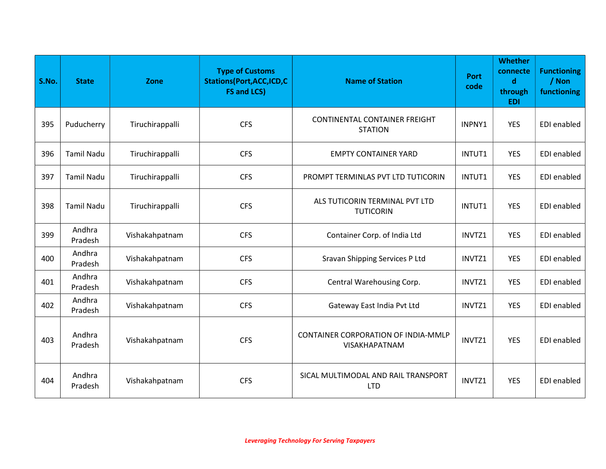| S.No. | <b>State</b>      | Zone            | <b>Type of Customs</b><br><b>Stations(Port, ACC, ICD, C</b><br><b>FS and LCS)</b> | <b>Name of Station</b>                                             | <b>Port</b><br>code | <b>Whether</b><br>connecte<br>$\mathbf d$<br>through<br><b>EDI</b> | <b>Functioning</b><br>/ Non<br>functioning |
|-------|-------------------|-----------------|-----------------------------------------------------------------------------------|--------------------------------------------------------------------|---------------------|--------------------------------------------------------------------|--------------------------------------------|
| 395   | Puducherry        | Tiruchirappalli | <b>CFS</b>                                                                        | <b>CONTINENTAL CONTAINER FREIGHT</b><br><b>STATION</b>             | INPNY1              | <b>YES</b>                                                         | EDI enabled                                |
| 396   | <b>Tamil Nadu</b> | Tiruchirappalli | <b>CFS</b>                                                                        | <b>EMPTY CONTAINER YARD</b>                                        | INTUT1              | <b>YES</b>                                                         | EDI enabled                                |
| 397   | <b>Tamil Nadu</b> | Tiruchirappalli | <b>CFS</b>                                                                        | PROMPT TERMINLAS PVT LTD TUTICORIN                                 | INTUT1              | <b>YES</b>                                                         | EDI enabled                                |
| 398   | <b>Tamil Nadu</b> | Tiruchirappalli | <b>CFS</b>                                                                        | ALS TUTICORIN TERMINAL PVT LTD<br><b>TUTICORIN</b>                 | INTUT1              | <b>YES</b>                                                         | EDI enabled                                |
| 399   | Andhra<br>Pradesh | Vishakahpatnam  | <b>CFS</b>                                                                        | Container Corp. of India Ltd                                       | INVTZ1              | <b>YES</b>                                                         | EDI enabled                                |
| 400   | Andhra<br>Pradesh | Vishakahpatnam  | <b>CFS</b>                                                                        | Sravan Shipping Services P Ltd                                     | INVTZ1              | <b>YES</b>                                                         | EDI enabled                                |
| 401   | Andhra<br>Pradesh | Vishakahpatnam  | <b>CFS</b>                                                                        | Central Warehousing Corp.                                          | INVTZ1              | <b>YES</b>                                                         | EDI enabled                                |
| 402   | Andhra<br>Pradesh | Vishakahpatnam  | <b>CFS</b>                                                                        | Gateway East India Pvt Ltd                                         | INVTZ1              | <b>YES</b>                                                         | EDI enabled                                |
| 403   | Andhra<br>Pradesh | Vishakahpatnam  | <b>CFS</b>                                                                        | <b>CONTAINER CORPORATION OF INDIA-MMLP</b><br><b>VISAKHAPATNAM</b> | INVTZ1              | <b>YES</b>                                                         | EDI enabled                                |
| 404   | Andhra<br>Pradesh | Vishakahpatnam  | <b>CFS</b>                                                                        | SICAL MULTIMODAL AND RAIL TRANSPORT<br><b>LTD</b>                  | INVTZ1              | <b>YES</b>                                                         | EDI enabled                                |